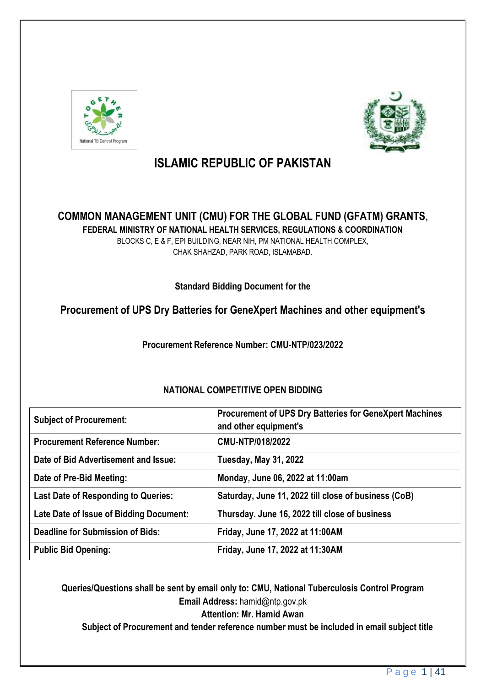



# **ISLAMIC REPUBLIC OF PAKISTAN**

# **COMMON MANAGEMENT UNIT (CMU) FOR THE GLOBAL FUND (GFATM) GRANTS, FEDERAL MINISTRY OF NATIONAL HEALTH SERVICES, REGULATIONS & COORDINATION**

BLOCKS C, E & F, EPI BUILDING, NEAR NIH, PM NATIONAL HEALTH COMPLEX, CHAK SHAHZAD, PARK ROAD, ISLAMABAD.

**Standard Bidding Document for the**

# **Procurement of UPS Dry Batteries for GeneXpert Machines and other equipment's**

**Procurement Reference Number: CMU-NTP/023/2022**

| <b>Subject of Procurement:</b>             | Procurement of UPS Dry Batteries for GeneXpert Machines<br>and other equipment's |
|--------------------------------------------|----------------------------------------------------------------------------------|
| <b>Procurement Reference Number:</b>       | CMU-NTP/018/2022                                                                 |
| Date of Bid Advertisement and Issue:       | <b>Tuesday, May 31, 2022</b>                                                     |
| Date of Pre-Bid Meeting:                   | Monday, June 06, 2022 at 11:00am                                                 |
| <b>Last Date of Responding to Queries:</b> | Saturday, June 11, 2022 till close of business (CoB)                             |
| Late Date of Issue of Bidding Document:    | Thursday. June 16, 2022 till close of business                                   |
| <b>Deadline for Submission of Bids:</b>    | Friday, June 17, 2022 at 11:00AM                                                 |
| <b>Public Bid Opening:</b>                 | Friday, June 17, 2022 at 11:30AM                                                 |

# **NATIONAL COMPETITIVE OPEN BIDDING**

**Queries/Questions shall be sent by email only to: CMU, National Tuberculosis Control Program Email Address:** hamid@ntp.gov.pk

**Attention: Mr. Hamid Awan**

**Subject of Procurement and tender reference number must be included in email subject title**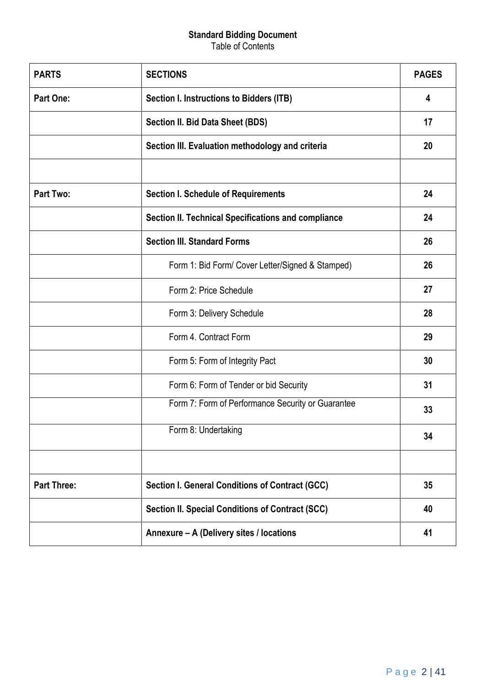# **Standard Bidding Document**

Table of Contents

| <b>PARTS</b>       | <b>SECTIONS</b>                                        | <b>PAGES</b> |
|--------------------|--------------------------------------------------------|--------------|
| <b>Part One:</b>   | Section I. Instructions to Bidders (ITB)               | 4            |
|                    | Section II. Bid Data Sheet (BDS)                       | 17           |
|                    | Section III. Evaluation methodology and criteria       | 20           |
| <b>Part Two:</b>   | <b>Section I. Schedule of Requirements</b>             | 24           |
|                    | Section II. Technical Specifications and compliance    | 24           |
|                    | <b>Section III. Standard Forms</b>                     | 26           |
|                    | Form 1: Bid Form/ Cover Letter/Signed & Stamped)       | 26           |
|                    | Form 2: Price Schedule                                 | 27           |
|                    | Form 3: Delivery Schedule                              | 28           |
|                    | Form 4. Contract Form                                  | 29           |
|                    | Form 5: Form of Integrity Pact                         | 30           |
|                    | Form 6: Form of Tender or bid Security                 | 31           |
|                    | Form 7: Form of Performance Security or Guarantee      | 33           |
|                    | Form 8: Undertaking                                    | 34           |
|                    |                                                        |              |
| <b>Part Three:</b> | <b>Section I. General Conditions of Contract (GCC)</b> | 35           |
|                    | Section II. Special Conditions of Contract (SCC)       | 40           |
|                    | Annexure - A (Delivery sites / locations               | 41           |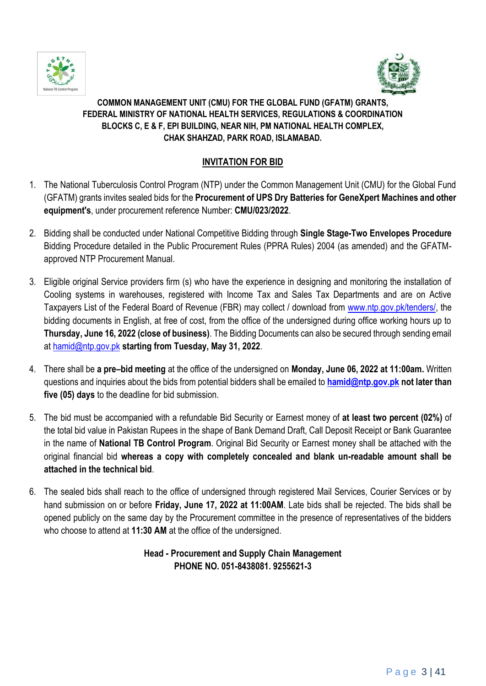



# **COMMON MANAGEMENT UNIT (CMU) FOR THE GLOBAL FUND (GFATM) GRANTS, FEDERAL MINISTRY OF NATIONAL HEALTH SERVICES, REGULATIONS & COORDINATION BLOCKS C, E & F, EPI BUILDING, NEAR NIH, PM NATIONAL HEALTH COMPLEX, CHAK SHAHZAD, PARK ROAD, ISLAMABAD.**

# **INVITATION FOR BID**

- 1. The National Tuberculosis Control Program (NTP) under the Common Management Unit (CMU) for the Global Fund (GFATM) grants invites sealed bids for the **Procurement of UPS Dry Batteries for GeneXpert Machines and other equipment's**, under procurement reference Number: **CMU/023/2022**.
- 2. Bidding shall be conducted under National Competitive Bidding through **Single Stage-Two Envelopes Procedure** Bidding Procedure detailed in the Public Procurement Rules (PPRA Rules) 2004 (as amended) and the GFATMapproved NTP Procurement Manual.
- 3. Eligible original Service providers firm (s) who have the experience in designing and monitoring the installation of Cooling systems in warehouses, registered with Income Tax and Sales Tax Departments and are on Active Taxpayers List of the Federal Board of Revenue (FBR) may collect / download from [www.ntp.gov.pk/tenders/,](http://www.ntp.gov.pk/tenders/) the bidding documents in English, at free of cost, from the office of the undersigned during office working hours up to **Thursday, June 16, 2022 (close of business)**. The Bidding Documents can also be secured through sending email at [hamid@ntp.gov.pk](mailto:hamid@ntp.gov.pk) **starting from Tuesday, May 31, 2022**.
- 4. There shall be **a pre–bid meeting** at the office of the undersigned on **Monday, June 06, 2022 at 11:00am.** Written questions and inquiries about the bids from potential bidders shall be emailed to **[hamid@ntp.gov.pk](mailto:hamid@ntp.gov.pk) not later than five (05) days** to the deadline for bid submission.
- 5. The bid must be accompanied with a refundable Bid Security or Earnest money of **at least two percent (02%)** of the total bid value in Pakistan Rupees in the shape of Bank Demand Draft, Call Deposit Receipt or Bank Guarantee in the name of **National TB Control Program**. Original Bid Security or Earnest money shall be attached with the original financial bid **whereas a copy with completely concealed and blank un-readable amount shall be attached in the technical bid**.
- 6. The sealed bids shall reach to the office of undersigned through registered Mail Services, Courier Services or by hand submission on or before **Friday, June 17, 2022 at 11:00AM**. Late bids shall be rejected. The bids shall be opened publicly on the same day by the Procurement committee in the presence of representatives of the bidders who choose to attend at **11:30 AM** at the office of the undersigned.

# **Head - Procurement and Supply Chain Management PHONE NO. 051-8438081. 9255621-3**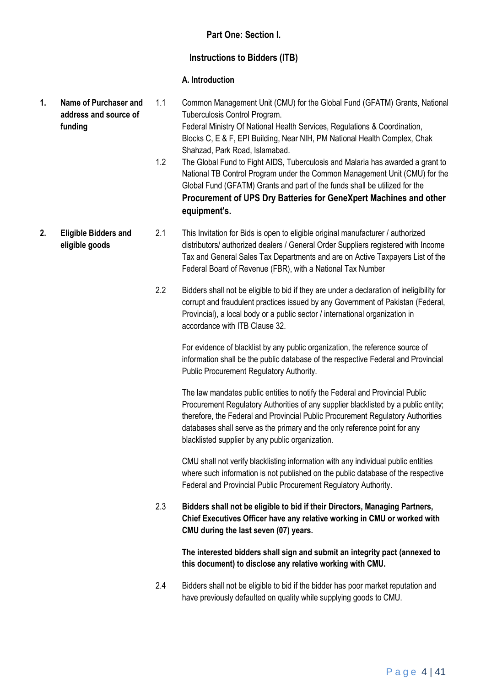# **Part One: Section I.**

# **Instructions to Bidders (ITB)**

# **A. Introduction**

**1. Name of Purchaser and address and source of funding**  1.1 Common Management Unit (CMU) for the Global Fund (GFATM) Grants, National Tuberculosis Control Program. Federal Ministry Of National Health Services, Regulations & Coordination, Blocks C, E & F, EPI Building, Near NIH, PM National Health Complex, Chak Shahzad, Park Road, Islamabad. 1.2 The Global Fund to Fight AIDS, Tuberculosis and Malaria has awarded a grant to National TB Control Program under the Common Management Unit (CMU) for the Global Fund (GFATM) Grants and part of the funds shall be utilized for the **Procurement of UPS Dry Batteries for GeneXpert Machines and other equipment's. 2. Eligible Bidders and eligible goods**  2.1 This Invitation for Bids is open to eligible original manufacturer / authorized distributors/ authorized dealers / General Order Suppliers registered with Income Tax and General Sales Tax Departments and are on Active Taxpayers List of the Federal Board of Revenue (FBR), with a National Tax Number 2.2 Bidders shall not be eligible to bid if they are under a declaration of ineligibility for corrupt and fraudulent practices issued by any Government of Pakistan (Federal, Provincial), a local body or a public sector / international organization in accordance with ITB Clause 32.

> For evidence of blacklist by any public organization, the reference source of information shall be the public database of the respective Federal and Provincial Public Procurement Regulatory Authority.

> The law mandates public entities to notify the Federal and Provincial Public Procurement Regulatory Authorities of any supplier blacklisted by a public entity; therefore, the Federal and Provincial Public Procurement Regulatory Authorities databases shall serve as the primary and the only reference point for any blacklisted supplier by any public organization.

> CMU shall not verify blacklisting information with any individual public entities where such information is not published on the public database of the respective Federal and Provincial Public Procurement Regulatory Authority.

2.3 **Bidders shall not be eligible to bid if their Directors, Managing Partners, Chief Executives Officer have any relative working in CMU or worked with CMU during the last seven (07) years.** 

**The interested bidders shall sign and submit an integrity pact (annexed to this document) to disclose any relative working with CMU.**

2.4 Bidders shall not be eligible to bid if the bidder has poor market reputation and have previously defaulted on quality while supplying goods to CMU.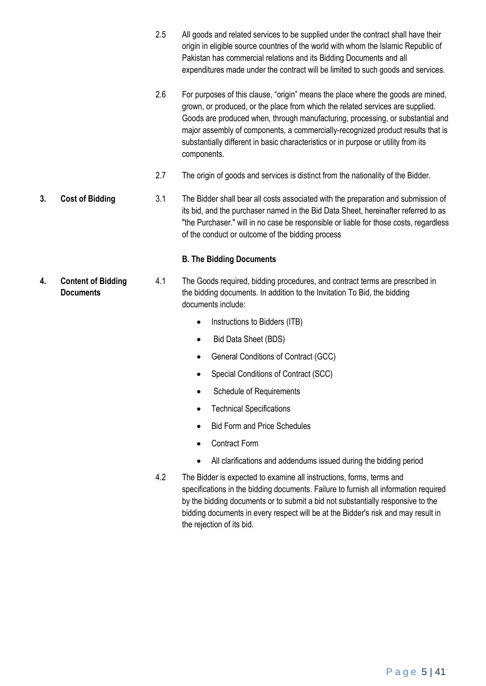- 2.5 All goods and related services to be supplied under the contract shall have their origin in eligible source countries of the world with whom the Islamic Republic of Pakistan has commercial relations and its Bidding Documents and all expenditures made under the contract will be limited to such goods and services.
- 2.6 For purposes of this clause, "origin" means the place where the goods are mined, grown, or produced, or the place from which the related services are supplied. Goods are produced when, through manufacturing, processing, or substantial and major assembly of components, a commercially-recognized product results that is substantially different in basic characteristics or in purpose or utility from its components.
- 2.7 The origin of goods and services is distinct from the nationality of the Bidder.
- **3. Cost of Bidding** 3.1 The Bidder shall bear all costs associated with the preparation and submission of its bid, and the purchaser named in the Bid Data Sheet, hereinafter referred to as "the Purchaser." will in no case be responsible or liable for those costs, regardless of the conduct or outcome of the bidding process

# **B. The Bidding Documents**

- 4.1 The Goods required, bidding procedures, and contract terms are prescribed in the bidding documents. In addition to the Invitation To Bid, the bidding documents include:
	- Instructions to Bidders (ITB)
	- Bid Data Sheet (BDS)
	- General Conditions of Contract (GCC)
	- Special Conditions of Contract (SCC)
	- Schedule of Requirements
	- Technical Specifications
	- Bid Form and Price Schedules
	- Contract Form
	- All clarifications and addendums issued during the bidding period
	- 4.2 The Bidder is expected to examine all instructions, forms, terms and specifications in the bidding documents. Failure to furnish all information required by the bidding documents or to submit a bid not substantially responsive to the bidding documents in every respect will be at the Bidder's risk and may result in the rejection of its bid.

**4. Content of Bidding Documents**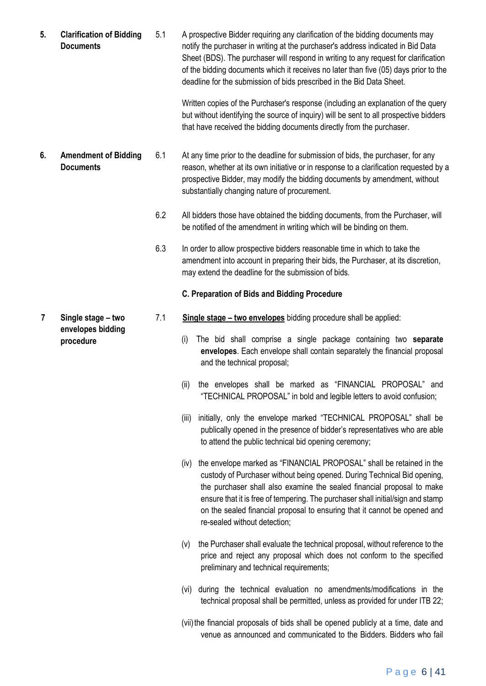**5. Clarification of Bidding Documents** 5.1 A prospective Bidder requiring any clarification of the bidding documents may notify the purchaser in writing at the purchaser's address indicated in Bid Data Sheet (BDS). The purchaser will respond in writing to any request for clarification of the bidding documents which it receives no later than five (05) days prior to the deadline for the submission of bids prescribed in the Bid Data Sheet.

> Written copies of the Purchaser's response (including an explanation of the query but without identifying the source of inquiry) will be sent to all prospective bidders that have received the bidding documents directly from the purchaser.

- **6. Amendment of Bidding Documents** 6.1 At any time prior to the deadline for submission of bids, the purchaser, for any reason, whether at its own initiative or in response to a clarification requested by a prospective Bidder, may modify the bidding documents by amendment, without substantially changing nature of procurement.
	- 6.2 All bidders those have obtained the bidding documents, from the Purchaser, will be notified of the amendment in writing which will be binding on them.
	- 6.3 In order to allow prospective bidders reasonable time in which to take the amendment into account in preparing their bids, the Purchaser, at its discretion, may extend the deadline for the submission of bids.

#### **C. Preparation of Bids and Bidding Procedure**

- 7.1 **Single stage – two envelopes** bidding procedure shall be applied:
	- (i) The bid shall comprise a single package containing two **separate envelopes**. Each envelope shall contain separately the financial proposal and the technical proposal;
	- (ii) the envelopes shall be marked as "FINANCIAL PROPOSAL" and "TECHNICAL PROPOSAL" in bold and legible letters to avoid confusion;
	- (iii) initially, only the envelope marked "TECHNICAL PROPOSAL" shall be publically opened in the presence of bidder's representatives who are able to attend the public technical bid opening ceremony;
	- (iv) the envelope marked as "FINANCIAL PROPOSAL" shall be retained in the custody of Purchaser without being opened. During Technical Bid opening, the purchaser shall also examine the sealed financial proposal to make ensure that it is free of tempering. The purchaser shall initial/sign and stamp on the sealed financial proposal to ensuring that it cannot be opened and re-sealed without detection;
	- (v) the Purchaser shall evaluate the technical proposal, without reference to the price and reject any proposal which does not conform to the specified preliminary and technical requirements;
	- (vi) during the technical evaluation no amendments/modifications in the technical proposal shall be permitted, unless as provided for under ITB 22;
	- (vii)the financial proposals of bids shall be opened publicly at a time, date and venue as announced and communicated to the Bidders. Bidders who fail

**7 Single stage – two envelopes bidding procedure**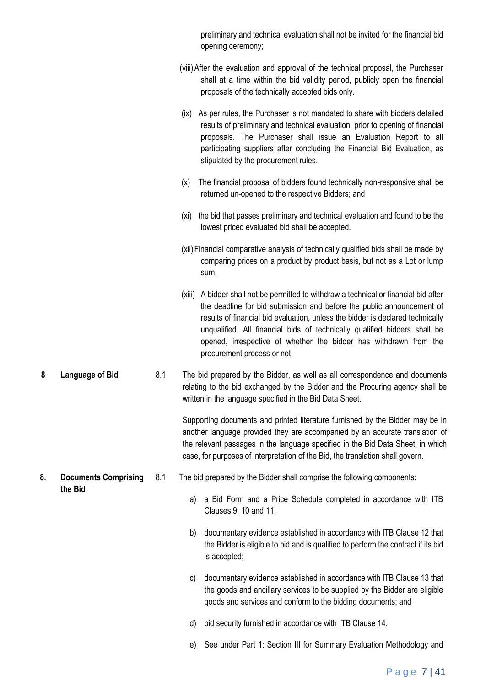|    |                             |     | preliminary and technical evaluation shall not be invited for the financial bid<br>opening ceremony;                                                                                                                                                                                                                                                                                                                              |
|----|-----------------------------|-----|-----------------------------------------------------------------------------------------------------------------------------------------------------------------------------------------------------------------------------------------------------------------------------------------------------------------------------------------------------------------------------------------------------------------------------------|
|    |                             |     | (viii) After the evaluation and approval of the technical proposal, the Purchaser<br>shall at a time within the bid validity period, publicly open the financial<br>proposals of the technically accepted bids only.                                                                                                                                                                                                              |
|    |                             |     | As per rules, the Purchaser is not mandated to share with bidders detailed<br>(ix)<br>results of preliminary and technical evaluation, prior to opening of financial<br>proposals. The Purchaser shall issue an Evaluation Report to all<br>participating suppliers after concluding the Financial Bid Evaluation, as<br>stipulated by the procurement rules.                                                                     |
|    |                             |     | The financial proposal of bidders found technically non-responsive shall be<br>(x)<br>returned un-opened to the respective Bidders; and                                                                                                                                                                                                                                                                                           |
|    |                             |     | (xi) the bid that passes preliminary and technical evaluation and found to be the<br>lowest priced evaluated bid shall be accepted.                                                                                                                                                                                                                                                                                               |
|    |                             |     | (xii) Financial comparative analysis of technically qualified bids shall be made by<br>comparing prices on a product by product basis, but not as a Lot or lump<br>sum.                                                                                                                                                                                                                                                           |
|    |                             |     | (xiii) A bidder shall not be permitted to withdraw a technical or financial bid after<br>the deadline for bid submission and before the public announcement of<br>results of financial bid evaluation, unless the bidder is declared technically<br>unqualified. All financial bids of technically qualified bidders shall be<br>opened, irrespective of whether the bidder has withdrawn from the<br>procurement process or not. |
| 8  | Language of Bid             | 8.1 | The bid prepared by the Bidder, as well as all correspondence and documents<br>relating to the bid exchanged by the Bidder and the Procuring agency shall be<br>written in the language specified in the Bid Data Sheet.                                                                                                                                                                                                          |
|    |                             |     | Supporting documents and printed literature furnished by the Bidder may be in<br>another language provided they are accompanied by an accurate translation of<br>the relevant passages in the language specified in the Bid Data Sheet, in which<br>case, for purposes of interpretation of the Bid, the translation shall govern.                                                                                                |
| 8. | <b>Documents Comprising</b> | 8.1 | The bid prepared by the Bidder shall comprise the following components:                                                                                                                                                                                                                                                                                                                                                           |
|    | the Bid                     |     | a Bid Form and a Price Schedule completed in accordance with ITB<br>a)<br>Clauses 9, 10 and 11.                                                                                                                                                                                                                                                                                                                                   |
|    |                             |     | documentary evidence established in accordance with ITB Clause 12 that<br>b)<br>the Bidder is eligible to bid and is qualified to perform the contract if its bid<br>is accepted;                                                                                                                                                                                                                                                 |
|    |                             |     | documentary evidence established in accordance with ITB Clause 13 that<br>C)<br>the goods and ancillary services to be supplied by the Bidder are eligible<br>goods and services and conform to the bidding documents; and                                                                                                                                                                                                        |
|    |                             |     | bid security furnished in accordance with ITB Clause 14.<br>d)                                                                                                                                                                                                                                                                                                                                                                    |
|    |                             |     | See under Part 1: Section III for Summary Evaluation Methodology and<br>e)                                                                                                                                                                                                                                                                                                                                                        |

# P a g e 7 | 41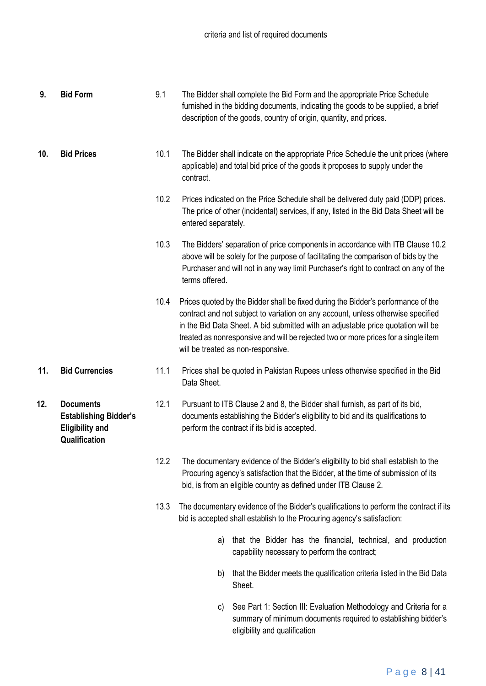| 9.  | <b>Bid Form</b>                                                                             | 9.1  | The Bidder shall complete the Bid Form and the appropriate Price Schedule<br>furnished in the bidding documents, indicating the goods to be supplied, a brief<br>description of the goods, country of origin, quantity, and prices.                                                                                                                                                    |  |  |  |
|-----|---------------------------------------------------------------------------------------------|------|----------------------------------------------------------------------------------------------------------------------------------------------------------------------------------------------------------------------------------------------------------------------------------------------------------------------------------------------------------------------------------------|--|--|--|
| 10. | <b>Bid Prices</b>                                                                           | 10.1 | The Bidder shall indicate on the appropriate Price Schedule the unit prices (where<br>applicable) and total bid price of the goods it proposes to supply under the<br>contract.                                                                                                                                                                                                        |  |  |  |
|     |                                                                                             | 10.2 | Prices indicated on the Price Schedule shall be delivered duty paid (DDP) prices.<br>The price of other (incidental) services, if any, listed in the Bid Data Sheet will be<br>entered separately.                                                                                                                                                                                     |  |  |  |
|     |                                                                                             | 10.3 | The Bidders' separation of price components in accordance with ITB Clause 10.2<br>above will be solely for the purpose of facilitating the comparison of bids by the<br>Purchaser and will not in any way limit Purchaser's right to contract on any of the<br>terms offered.                                                                                                          |  |  |  |
|     |                                                                                             | 10.4 | Prices quoted by the Bidder shall be fixed during the Bidder's performance of the<br>contract and not subject to variation on any account, unless otherwise specified<br>in the Bid Data Sheet. A bid submitted with an adjustable price quotation will be<br>treated as nonresponsive and will be rejected two or more prices for a single item<br>will be treated as non-responsive. |  |  |  |
| 11. | <b>Bid Currencies</b>                                                                       | 11.1 | Prices shall be quoted in Pakistan Rupees unless otherwise specified in the Bid<br>Data Sheet.                                                                                                                                                                                                                                                                                         |  |  |  |
| 12. | <b>Documents</b><br><b>Establishing Bidder's</b><br><b>Eligibility and</b><br>Qualification | 12.1 | Pursuant to ITB Clause 2 and 8, the Bidder shall furnish, as part of its bid,<br>documents establishing the Bidder's eligibility to bid and its qualifications to<br>perform the contract if its bid is accepted.                                                                                                                                                                      |  |  |  |
|     |                                                                                             | 12.2 | The documentary evidence of the Bidder's eligibility to bid shall establish to the<br>Procuring agency's satisfaction that the Bidder, at the time of submission of its<br>bid, is from an eligible country as defined under ITB Clause 2.                                                                                                                                             |  |  |  |
|     |                                                                                             | 13.3 | The documentary evidence of the Bidder's qualifications to perform the contract if its<br>bid is accepted shall establish to the Procuring agency's satisfaction:                                                                                                                                                                                                                      |  |  |  |
|     |                                                                                             |      | that the Bidder has the financial, technical, and production<br>a)<br>capability necessary to perform the contract;                                                                                                                                                                                                                                                                    |  |  |  |
|     |                                                                                             |      | that the Bidder meets the qualification criteria listed in the Bid Data<br>b)<br>Sheet.                                                                                                                                                                                                                                                                                                |  |  |  |

c) See Part 1: Section III: Evaluation Methodology and Criteria for a summary of minimum documents required to establishing bidder's eligibility and qualification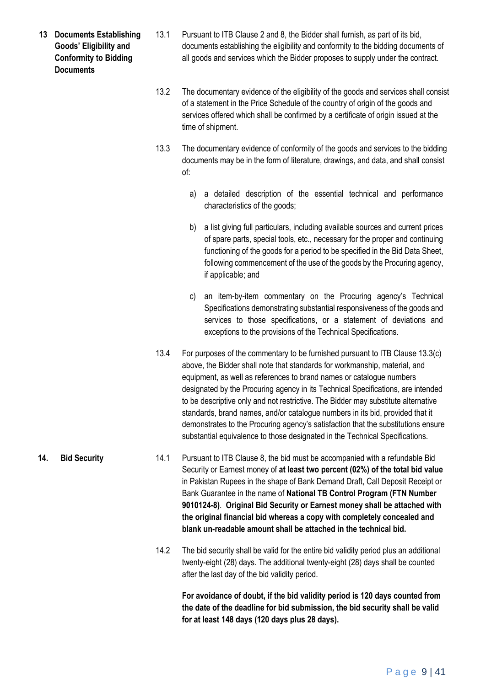- **13 Documents Establishing Goods' Eligibility and Conformity to Bidding Documents**
- 13.1 Pursuant to ITB Clause 2 and 8, the Bidder shall furnish, as part of its bid, documents establishing the eligibility and conformity to the bidding documents of all goods and services which the Bidder proposes to supply under the contract.
- 13.2 The documentary evidence of the eligibility of the goods and services shall consist of a statement in the Price Schedule of the country of origin of the goods and services offered which shall be confirmed by a certificate of origin issued at the time of shipment.
- 13.3 The documentary evidence of conformity of the goods and services to the bidding documents may be in the form of literature, drawings, and data, and shall consist of:
	- a) a detailed description of the essential technical and performance characteristics of the goods;
	- b) a list giving full particulars, including available sources and current prices of spare parts, special tools, etc., necessary for the proper and continuing functioning of the goods for a period to be specified in the Bid Data Sheet, following commencement of the use of the goods by the Procuring agency, if applicable; and
	- c) an item-by-item commentary on the Procuring agency's Technical Specifications demonstrating substantial responsiveness of the goods and services to those specifications, or a statement of deviations and exceptions to the provisions of the Technical Specifications.
- 13.4 For purposes of the commentary to be furnished pursuant to ITB Clause 13.3(c) above, the Bidder shall note that standards for workmanship, material, and equipment, as well as references to brand names or catalogue numbers designated by the Procuring agency in its Technical Specifications, are intended to be descriptive only and not restrictive. The Bidder may substitute alternative standards, brand names, and/or catalogue numbers in its bid, provided that it demonstrates to the Procuring agency's satisfaction that the substitutions ensure substantial equivalence to those designated in the Technical Specifications.
- **14. Bid Security** 14.1 Pursuant to ITB Clause 8, the bid must be accompanied with a refundable Bid Security or Earnest money of **at least two percent (02%) of the total bid value** in Pakistan Rupees in the shape of Bank Demand Draft, Call Deposit Receipt or Bank Guarantee in the name of **National TB Control Program (FTN Number 9010124-8)**. **Original Bid Security or Earnest money shall be attached with the original financial bid whereas a copy with completely concealed and blank un-readable amount shall be attached in the technical bid.**
	- 14.2 The bid security shall be valid for the entire bid validity period plus an additional twenty-eight (28) days. The additional twenty-eight (28) days shall be counted after the last day of the bid validity period.

**For avoidance of doubt, if the bid validity period is 120 days counted from the date of the deadline for bid submission, the bid security shall be valid for at least 148 days (120 days plus 28 days).**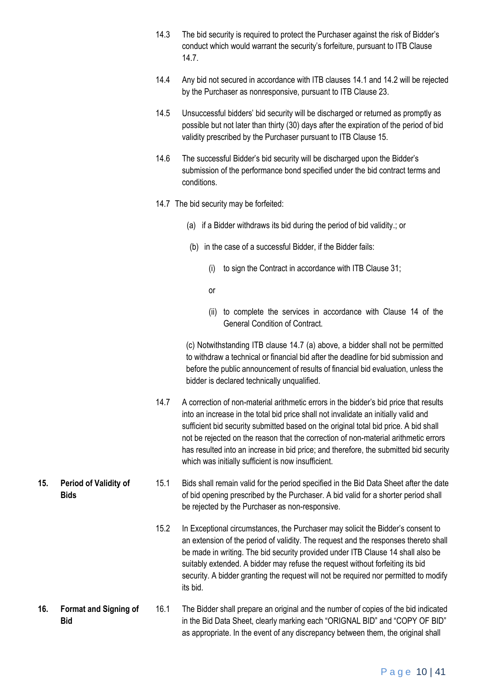- 14.3 The bid security is required to protect the Purchaser against the risk of Bidder's conduct which would warrant the security's forfeiture, pursuant to ITB Clause 14.7.
- 14.4 Any bid not secured in accordance with ITB clauses 14.1 and 14.2 will be rejected by the Purchaser as nonresponsive, pursuant to ITB Clause 23.
- 14.5 Unsuccessful bidders' bid security will be discharged or returned as promptly as possible but not later than thirty (30) days after the expiration of the period of bid validity prescribed by the Purchaser pursuant to ITB Clause 15.
- 14.6 The successful Bidder's bid security will be discharged upon the Bidder's submission of the performance bond specified under the bid contract terms and conditions.
- 14.7 The bid security may be forfeited:
	- (a) if a Bidder withdraws its bid during the period of bid validity.; or
	- (b) in the case of a successful Bidder, if the Bidder fails:
		- (i) to sign the Contract in accordance with ITB Clause 31;
		- or

**15. Period of Validity of** 

**Bids**

(ii) to complete the services in accordance with Clause 14 of the General Condition of Contract.

(c) Notwithstanding ITB clause 14.7 (a) above, a bidder shall not be permitted to withdraw a technical or financial bid after the deadline for bid submission and before the public announcement of results of financial bid evaluation, unless the bidder is declared technically unqualified.

- 14.7 A correction of non-material arithmetic errors in the bidder's bid price that results into an increase in the total bid price shall not invalidate an initially valid and sufficient bid security submitted based on the original total bid price. A bid shall not be rejected on the reason that the correction of non-material arithmetic errors has resulted into an increase in bid price; and therefore, the submitted bid security which was initially sufficient is now insufficient.
- 15.1 Bids shall remain valid for the period specified in the Bid Data Sheet after the date of bid opening prescribed by the Purchaser. A bid valid for a shorter period shall be rejected by the Purchaser as non-responsive.
	- 15.2 In Exceptional circumstances, the Purchaser may solicit the Bidder's consent to an extension of the period of validity. The request and the responses thereto shall be made in writing. The bid security provided under ITB Clause 14 shall also be suitably extended. A bidder may refuse the request without forfeiting its bid security. A bidder granting the request will not be required nor permitted to modify its bid.
- **16. Format and Signing of Bid** 16.1 The Bidder shall prepare an original and the number of copies of the bid indicated in the Bid Data Sheet, clearly marking each "ORIGNAL BID" and "COPY OF BID" as appropriate. In the event of any discrepancy between them, the original shall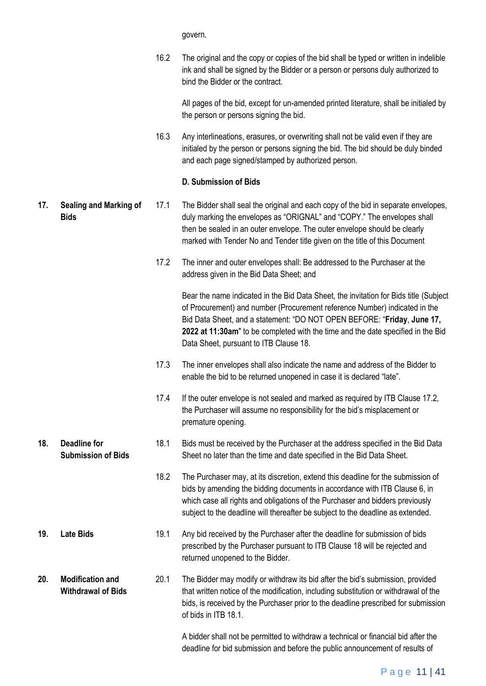govern.

16.2 The original and the copy or copies of the bid shall be typed or written in indelible ink and shall be signed by the Bidder or a person or persons duly authorized to bind the Bidder or the contract.

All pages of the bid, except for un-amended printed literature, shall be initialed by the person or persons signing the bid.

16.3 Any interlineations, erasures, or overwriting shall not be valid even if they are initialed by the person or persons signing the bid. The bid should be duly binded and each page signed/stamped by authorized person.

#### **D. Submission of Bids**

#### **17. Sealing and Marking of Bids** 17.1 The Bidder shall seal the original and each copy of the bid in separate envelopes, duly marking the envelopes as "ORIGNAL" and "COPY." The envelopes shall then be sealed in an outer envelope. The outer envelope should be clearly marked with Tender No and Tender title given on the title of this Document

17.2 The inner and outer envelopes shall: Be addressed to the Purchaser at the address given in the Bid Data Sheet; and

> Bear the name indicated in the Bid Data Sheet, the invitation for Bids title (Subject of Procurement) and number (Procurement reference Number) indicated in the Bid Data Sheet, and a statement: "DO NOT OPEN BEFORE: "**Friday**, **June 17, 2022 at 11:30am**" to be completed with the time and the date specified in the Bid Data Sheet, pursuant to ITB Clause 18.

- 17.3 The inner envelopes shall also indicate the name and address of the Bidder to enable the bid to be returned unopened in case it is declared "late".
- 17.4 If the outer envelope is not sealed and marked as required by ITB Clause 17.2, the Purchaser will assume no responsibility for the bid's misplacement or premature opening.
- **18. Deadline for Submission of Bids** 18.1 Bids must be received by the Purchaser at the address specified in the Bid Data Sheet no later than the time and date specified in the Bid Data Sheet.
	- 18.2 The Purchaser may, at its discretion, extend this deadline for the submission of bids by amending the bidding documents in accordance with ITB Clause 6, in which case all rights and obligations of the Purchaser and bidders previously subject to the deadline will thereafter be subject to the deadline as extended.
- **19. Late Bids** 19.1 Any bid received by the Purchaser after the deadline for submission of bids prescribed by the Purchaser pursuant to ITB Clause 18 will be rejected and returned unopened to the Bidder.
- **20. Modification and Withdrawal of Bids** 20.1 The Bidder may modify or withdraw its bid after the bid's submission, provided that written notice of the modification, including substitution or withdrawal of the bids, is received by the Purchaser prior to the deadline prescribed for submission of bids in ITB 18.1.

A bidder shall not be permitted to withdraw a technical or financial bid after the deadline for bid submission and before the public announcement of results of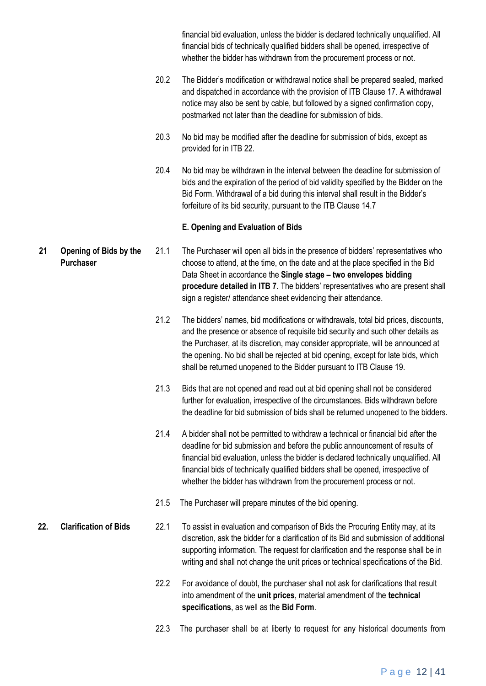financial bid evaluation, unless the bidder is declared technically unqualified. All financial bids of technically qualified bidders shall be opened, irrespective of whether the bidder has withdrawn from the procurement process or not.

- 20.2 The Bidder's modification or withdrawal notice shall be prepared sealed, marked and dispatched in accordance with the provision of ITB Clause 17. A withdrawal notice may also be sent by cable, but followed by a signed confirmation copy, postmarked not later than the deadline for submission of bids.
- 20.3 No bid may be modified after the deadline for submission of bids, except as provided for in ITB 22.
- 20.4 No bid may be withdrawn in the interval between the deadline for submission of bids and the expiration of the period of bid validity specified by the Bidder on the Bid Form. Withdrawal of a bid during this interval shall result in the Bidder's forfeiture of its bid security, pursuant to the ITB Clause 14.7

#### **E. Opening and Evaluation of Bids**

- **21 Opening of Bids by the Purchaser** 21.1 The Purchaser will open all bids in the presence of bidders' representatives who choose to attend, at the time, on the date and at the place specified in the Bid Data Sheet in accordance the **Single stage – two envelopes bidding procedure detailed in ITB 7**. The bidders' representatives who are present shall sign a register/ attendance sheet evidencing their attendance.
	- 21.2 The bidders' names, bid modifications or withdrawals, total bid prices, discounts, and the presence or absence of requisite bid security and such other details as the Purchaser, at its discretion, may consider appropriate, will be announced at the opening. No bid shall be rejected at bid opening, except for late bids, which shall be returned unopened to the Bidder pursuant to ITB Clause 19.
	- 21.3 Bids that are not opened and read out at bid opening shall not be considered further for evaluation, irrespective of the circumstances. Bids withdrawn before the deadline for bid submission of bids shall be returned unopened to the bidders.
	- 21.4 A bidder shall not be permitted to withdraw a technical or financial bid after the deadline for bid submission and before the public announcement of results of financial bid evaluation, unless the bidder is declared technically unqualified. All financial bids of technically qualified bidders shall be opened, irrespective of whether the bidder has withdrawn from the procurement process or not.
	- 21.5 The Purchaser will prepare minutes of the bid opening.
- **22. Clarification of Bids** 22.1 To assist in evaluation and comparison of Bids the Procuring Entity may, at its discretion, ask the bidder for a clarification of its Bid and submission of additional supporting information. The request for clarification and the response shall be in writing and shall not change the unit prices or technical specifications of the Bid.
	- 22.2 For avoidance of doubt, the purchaser shall not ask for clarifications that result into amendment of the **unit prices**, material amendment of the **technical specifications**, as well as the **Bid Form**.
	- 22.3 The purchaser shall be at liberty to request for any historical documents from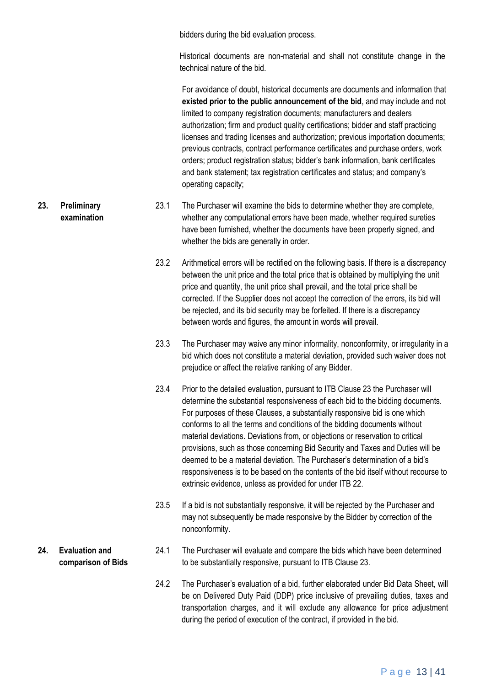bidders during the bid evaluation process.

Historical documents are non-material and shall not constitute change in the technical nature of the bid.

For avoidance of doubt, historical documents are documents and information that **existed prior to the public announcement of the bid**, and may include and not limited to company registration documents; manufacturers and dealers authorization; firm and product quality certifications; bidder and staff practicing licenses and trading licenses and authorization; previous importation documents; previous contracts, contract performance certificates and purchase orders, work orders; product registration status; bidder's bank information, bank certificates and bank statement; tax registration certificates and status; and company's operating capacity;

- **23. Preliminary examination** 23.1 The Purchaser will examine the bids to determine whether they are complete, whether any computational errors have been made, whether required sureties have been furnished, whether the documents have been properly signed, and whether the bids are generally in order.
	- 23.2 Arithmetical errors will be rectified on the following basis. If there is a discrepancy between the unit price and the total price that is obtained by multiplying the unit price and quantity, the unit price shall prevail, and the total price shall be corrected. If the Supplier does not accept the correction of the errors, its bid will be rejected, and its bid security may be forfeited. If there is a discrepancy between words and figures, the amount in words will prevail.
	- 23.3 The Purchaser may waive any minor informality, nonconformity, or irregularity in a bid which does not constitute a material deviation, provided such waiver does not prejudice or affect the relative ranking of any Bidder.
	- 23.4 Prior to the detailed evaluation, pursuant to ITB Clause 23 the Purchaser will determine the substantial responsiveness of each bid to the bidding documents. For purposes of these Clauses, a substantially responsive bid is one which conforms to all the terms and conditions of the bidding documents without material deviations. Deviations from, or objections or reservation to critical provisions, such as those concerning Bid Security and Taxes and Duties will be deemed to be a material deviation. The Purchaser's determination of a bid's responsiveness is to be based on the contents of the bid itself without recourse to extrinsic evidence, unless as provided for under ITB 22.
	- 23.5 If a bid is not substantially responsive, it will be rejected by the Purchaser and may not subsequently be made responsive by the Bidder by correction of the nonconformity.
	- 24.1 The Purchaser will evaluate and compare the bids which have been determined to be substantially responsive, pursuant to ITB Clause 23.
		- 24.2 The Purchaser's evaluation of a bid, further elaborated under Bid Data Sheet, will be on Delivered Duty Paid (DDP) price inclusive of prevailing duties, taxes and transportation charges, and it will exclude any allowance for price adjustment during the period of execution of the contract, if provided in the bid.

# **24. Evaluation and comparison of Bids**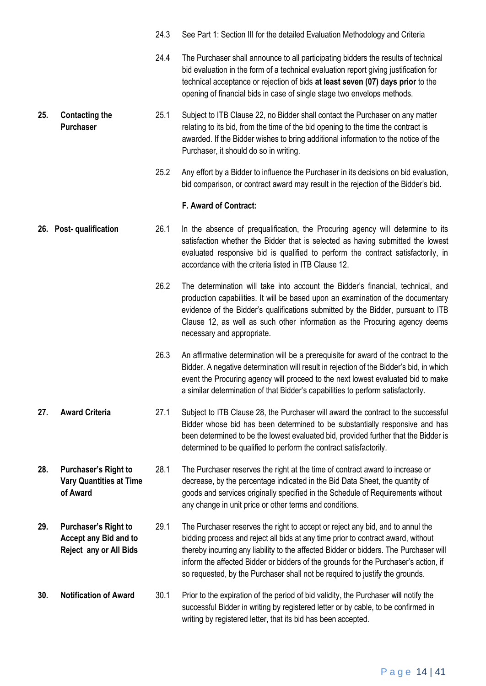|     |                                                                                | 24.3 | See Part 1: Section III for the detailed Evaluation Methodology and Criteria                                                                                                                                                                                                                                                                                                                                                       |
|-----|--------------------------------------------------------------------------------|------|------------------------------------------------------------------------------------------------------------------------------------------------------------------------------------------------------------------------------------------------------------------------------------------------------------------------------------------------------------------------------------------------------------------------------------|
|     |                                                                                | 24.4 | The Purchaser shall announce to all participating bidders the results of technical<br>bid evaluation in the form of a technical evaluation report giving justification for<br>technical acceptance or rejection of bids at least seven (07) days prior to the<br>opening of financial bids in case of single stage two envelops methods.                                                                                           |
| 25. | <b>Contacting the</b><br><b>Purchaser</b>                                      | 25.1 | Subject to ITB Clause 22, no Bidder shall contact the Purchaser on any matter<br>relating to its bid, from the time of the bid opening to the time the contract is<br>awarded. If the Bidder wishes to bring additional information to the notice of the<br>Purchaser, it should do so in writing.                                                                                                                                 |
|     |                                                                                | 25.2 | Any effort by a Bidder to influence the Purchaser in its decisions on bid evaluation,<br>bid comparison, or contract award may result in the rejection of the Bidder's bid.                                                                                                                                                                                                                                                        |
|     |                                                                                |      | F. Award of Contract:                                                                                                                                                                                                                                                                                                                                                                                                              |
|     | 26. Post- qualification                                                        | 26.1 | In the absence of prequalification, the Procuring agency will determine to its<br>satisfaction whether the Bidder that is selected as having submitted the lowest<br>evaluated responsive bid is qualified to perform the contract satisfactorily, in<br>accordance with the criteria listed in ITB Clause 12.                                                                                                                     |
|     |                                                                                | 26.2 | The determination will take into account the Bidder's financial, technical, and<br>production capabilities. It will be based upon an examination of the documentary<br>evidence of the Bidder's qualifications submitted by the Bidder, pursuant to ITB<br>Clause 12, as well as such other information as the Procuring agency deems<br>necessary and appropriate.                                                                |
|     |                                                                                | 26.3 | An affirmative determination will be a prerequisite for award of the contract to the<br>Bidder. A negative determination will result in rejection of the Bidder's bid, in which<br>event the Procuring agency will proceed to the next lowest evaluated bid to make<br>a similar determination of that Bidder's capabilities to perform satisfactorily.                                                                            |
| 27. | <b>Award Criteria</b>                                                          | 27.1 | Subject to ITB Clause 28, the Purchaser will award the contract to the successful<br>Bidder whose bid has been determined to be substantially responsive and has<br>been determined to be the lowest evaluated bid, provided further that the Bidder is<br>determined to be qualified to perform the contract satisfactorily.                                                                                                      |
| 28. | <b>Purchaser's Right to</b><br><b>Vary Quantities at Time</b><br>of Award      | 28.1 | The Purchaser reserves the right at the time of contract award to increase or<br>decrease, by the percentage indicated in the Bid Data Sheet, the quantity of<br>goods and services originally specified in the Schedule of Requirements without<br>any change in unit price or other terms and conditions.                                                                                                                        |
| 29. | <b>Purchaser's Right to</b><br>Accept any Bid and to<br>Reject any or All Bids | 29.1 | The Purchaser reserves the right to accept or reject any bid, and to annul the<br>bidding process and reject all bids at any time prior to contract award, without<br>thereby incurring any liability to the affected Bidder or bidders. The Purchaser will<br>inform the affected Bidder or bidders of the grounds for the Purchaser's action, if<br>so requested, by the Purchaser shall not be required to justify the grounds. |
| 30. | <b>Notification of Award</b>                                                   | 30.1 | Prior to the expiration of the period of bid validity, the Purchaser will notify the<br>successful Bidder in writing by registered letter or by cable, to be confirmed in<br>writing by registered letter, that its bid has been accepted.                                                                                                                                                                                         |

# P a g e 14 | 41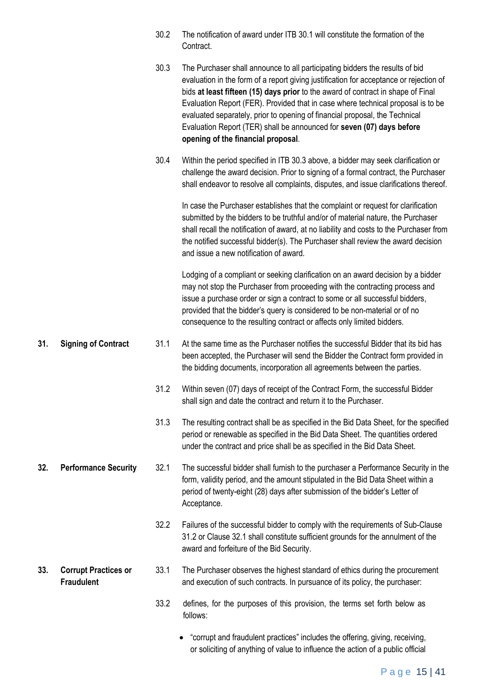|     |                                                  | 30.2 | The notification of award under ITB 30.1 will constitute the formation of the<br>Contract.                                                                                                                                                                                                                                                                                                                                                                                                                                                   |
|-----|--------------------------------------------------|------|----------------------------------------------------------------------------------------------------------------------------------------------------------------------------------------------------------------------------------------------------------------------------------------------------------------------------------------------------------------------------------------------------------------------------------------------------------------------------------------------------------------------------------------------|
|     |                                                  | 30.3 | The Purchaser shall announce to all participating bidders the results of bid<br>evaluation in the form of a report giving justification for acceptance or rejection of<br>bids at least fifteen (15) days prior to the award of contract in shape of Final<br>Evaluation Report (FER). Provided that in case where technical proposal is to be<br>evaluated separately, prior to opening of financial proposal, the Technical<br>Evaluation Report (TER) shall be announced for seven (07) days before<br>opening of the financial proposal. |
|     |                                                  | 30.4 | Within the period specified in ITB 30.3 above, a bidder may seek clarification or<br>challenge the award decision. Prior to signing of a formal contract, the Purchaser<br>shall endeavor to resolve all complaints, disputes, and issue clarifications thereof.                                                                                                                                                                                                                                                                             |
|     |                                                  |      | In case the Purchaser establishes that the complaint or request for clarification<br>submitted by the bidders to be truthful and/or of material nature, the Purchaser<br>shall recall the notification of award, at no liability and costs to the Purchaser from<br>the notified successful bidder(s). The Purchaser shall review the award decision<br>and issue a new notification of award.                                                                                                                                               |
|     |                                                  |      | Lodging of a compliant or seeking clarification on an award decision by a bidder<br>may not stop the Purchaser from proceeding with the contracting process and<br>issue a purchase order or sign a contract to some or all successful bidders,<br>provided that the bidder's query is considered to be non-material or of no<br>consequence to the resulting contract or affects only limited bidders.                                                                                                                                      |
| 31. | <b>Signing of Contract</b>                       | 31.1 | At the same time as the Purchaser notifies the successful Bidder that its bid has<br>been accepted, the Purchaser will send the Bidder the Contract form provided in<br>the bidding documents, incorporation all agreements between the parties.                                                                                                                                                                                                                                                                                             |
|     |                                                  | 31.2 | Within seven (07) days of receipt of the Contract Form, the successful Bidder<br>shall sign and date the contract and return it to the Purchaser.                                                                                                                                                                                                                                                                                                                                                                                            |
|     |                                                  | 31.3 | The resulting contract shall be as specified in the Bid Data Sheet, for the specified<br>period or renewable as specified in the Bid Data Sheet. The quantities ordered<br>under the contract and price shall be as specified in the Bid Data Sheet.                                                                                                                                                                                                                                                                                         |
| 32. | <b>Performance Security</b>                      | 32.1 | The successful bidder shall furnish to the purchaser a Performance Security in the<br>form, validity period, and the amount stipulated in the Bid Data Sheet within a<br>period of twenty-eight (28) days after submission of the bidder's Letter of<br>Acceptance.                                                                                                                                                                                                                                                                          |
|     |                                                  | 32.2 | Failures of the successful bidder to comply with the requirements of Sub-Clause<br>31.2 or Clause 32.1 shall constitute sufficient grounds for the annulment of the<br>award and forfeiture of the Bid Security.                                                                                                                                                                                                                                                                                                                             |
| 33. | <b>Corrupt Practices or</b><br><b>Fraudulent</b> | 33.1 | The Purchaser observes the highest standard of ethics during the procurement<br>and execution of such contracts. In pursuance of its policy, the purchaser:                                                                                                                                                                                                                                                                                                                                                                                  |
|     |                                                  | 33.2 | defines, for the purposes of this provision, the terms set forth below as<br>follows:                                                                                                                                                                                                                                                                                                                                                                                                                                                        |
|     |                                                  |      | "corrupt and fraudulent practices" includes the offering, giving, receiving,                                                                                                                                                                                                                                                                                                                                                                                                                                                                 |

or soliciting of anything of value to influence the action of a public official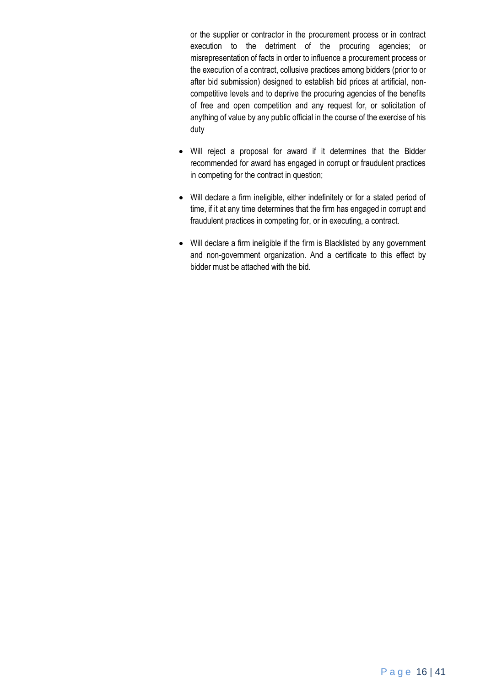or the supplier or contractor in the procurement process or in contract execution to the detriment of the procuring agencies; or misrepresentation of facts in order to influence a procurement process or the execution of a contract, collusive practices among bidders (prior to or after bid submission) designed to establish bid prices at artificial, noncompetitive levels and to deprive the procuring agencies of the benefits of free and open competition and any request for, or solicitation of anything of value by any public official in the course of the exercise of his duty

- Will reject a proposal for award if it determines that the Bidder recommended for award has engaged in corrupt or fraudulent practices in competing for the contract in question;
- Will declare a firm ineligible, either indefinitely or for a stated period of time, if it at any time determines that the firm has engaged in corrupt and fraudulent practices in competing for, or in executing, a contract.
- Will declare a firm ineligible if the firm is Blacklisted by any government and non-government organization. And a certificate to this effect by bidder must be attached with the bid.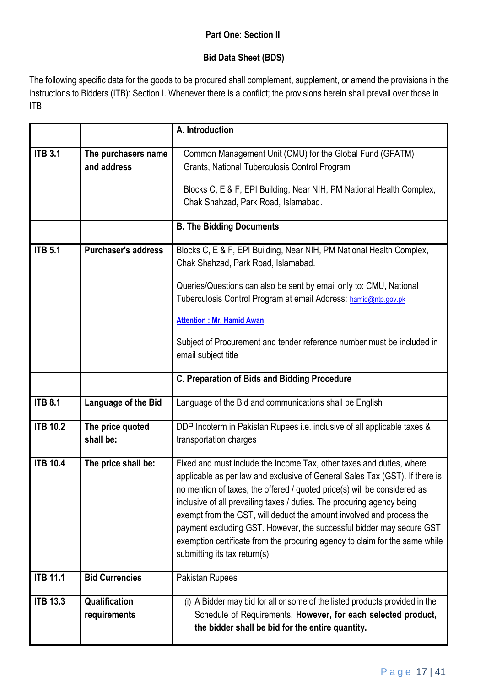# **Part One: Section II**

# **Bid Data Sheet (BDS)**

The following specific data for the goods to be procured shall complement, supplement, or amend the provisions in the instructions to Bidders (ITB): Section I. Whenever there is a conflict; the provisions herein shall prevail over those in ITB.

|                 |                                    | A. Introduction                                                                                                                                                                                                                                                                                                                                                                                                                                                                                                                                                           |  |  |  |
|-----------------|------------------------------------|---------------------------------------------------------------------------------------------------------------------------------------------------------------------------------------------------------------------------------------------------------------------------------------------------------------------------------------------------------------------------------------------------------------------------------------------------------------------------------------------------------------------------------------------------------------------------|--|--|--|
| <b>ITB 3.1</b>  | The purchasers name<br>and address | Common Management Unit (CMU) for the Global Fund (GFATM)<br>Grants, National Tuberculosis Control Program<br>Blocks C, E & F, EPI Building, Near NIH, PM National Health Complex,<br>Chak Shahzad, Park Road, Islamabad.                                                                                                                                                                                                                                                                                                                                                  |  |  |  |
|                 |                                    | <b>B. The Bidding Documents</b>                                                                                                                                                                                                                                                                                                                                                                                                                                                                                                                                           |  |  |  |
| <b>ITB 5.1</b>  | <b>Purchaser's address</b>         | Blocks C, E & F, EPI Building, Near NIH, PM National Health Complex,<br>Chak Shahzad, Park Road, Islamabad.<br>Queries/Questions can also be sent by email only to: CMU, National<br>Tuberculosis Control Program at email Address: hamid@ntp.gov.pk<br><b>Attention: Mr. Hamid Awan</b><br>Subject of Procurement and tender reference number must be included in<br>email subject title                                                                                                                                                                                 |  |  |  |
|                 |                                    | C. Preparation of Bids and Bidding Procedure                                                                                                                                                                                                                                                                                                                                                                                                                                                                                                                              |  |  |  |
| <b>ITB 8.1</b>  | Language of the Bid                | Language of the Bid and communications shall be English                                                                                                                                                                                                                                                                                                                                                                                                                                                                                                                   |  |  |  |
| <b>ITB 10.2</b> | The price quoted<br>shall be:      | DDP Incoterm in Pakistan Rupees i.e. inclusive of all applicable taxes &<br>transportation charges                                                                                                                                                                                                                                                                                                                                                                                                                                                                        |  |  |  |
| <b>ITB 10.4</b> | The price shall be:                | Fixed and must include the Income Tax, other taxes and duties, where<br>applicable as per law and exclusive of General Sales Tax (GST). If there is<br>no mention of taxes, the offered / quoted price(s) will be considered as<br>inclusive of all prevailing taxes / duties. The procuring agency being<br>exempt from the GST, will deduct the amount involved and process the<br>payment excluding GST. However, the successful bidder may secure GST<br>exemption certificate from the procuring agency to claim for the same while<br>submitting its tax return(s). |  |  |  |
| <b>ITB 11.1</b> | <b>Bid Currencies</b>              | Pakistan Rupees                                                                                                                                                                                                                                                                                                                                                                                                                                                                                                                                                           |  |  |  |
| <b>ITB 13.3</b> | Qualification<br>requirements      | (i) A Bidder may bid for all or some of the listed products provided in the<br>Schedule of Requirements. However, for each selected product,<br>the bidder shall be bid for the entire quantity.                                                                                                                                                                                                                                                                                                                                                                          |  |  |  |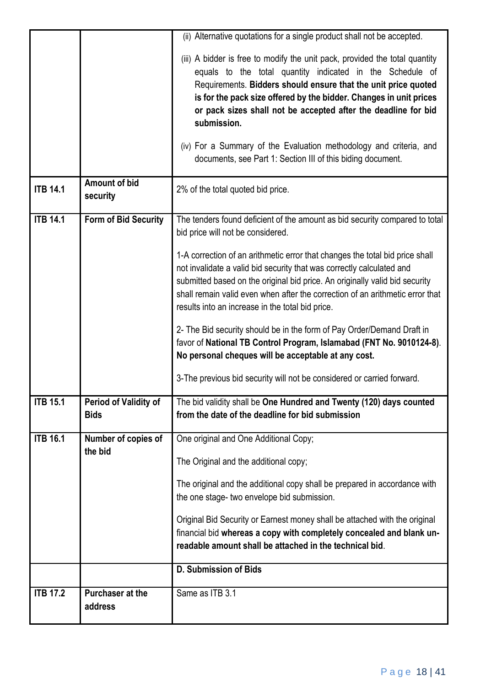|                 |                                      | (ii) Alternative quotations for a single product shall not be accepted.                                                                                                                                                                                                                                                                                                                                                                                                                                |
|-----------------|--------------------------------------|--------------------------------------------------------------------------------------------------------------------------------------------------------------------------------------------------------------------------------------------------------------------------------------------------------------------------------------------------------------------------------------------------------------------------------------------------------------------------------------------------------|
|                 |                                      | (iii) A bidder is free to modify the unit pack, provided the total quantity<br>equals to the total quantity indicated in the Schedule of<br>Requirements. Bidders should ensure that the unit price quoted<br>is for the pack size offered by the bidder. Changes in unit prices<br>or pack sizes shall not be accepted after the deadline for bid<br>submission.<br>(iv) For a Summary of the Evaluation methodology and criteria, and<br>documents, see Part 1: Section III of this biding document. |
| <b>ITB 14.1</b> | <b>Amount of bid</b><br>security     | 2% of the total quoted bid price.                                                                                                                                                                                                                                                                                                                                                                                                                                                                      |
| <b>ITB 14.1</b> | <b>Form of Bid Security</b>          | The tenders found deficient of the amount as bid security compared to total<br>bid price will not be considered.                                                                                                                                                                                                                                                                                                                                                                                       |
|                 |                                      | 1-A correction of an arithmetic error that changes the total bid price shall<br>not invalidate a valid bid security that was correctly calculated and<br>submitted based on the original bid price. An originally valid bid security<br>shall remain valid even when after the correction of an arithmetic error that<br>results into an increase in the total bid price.                                                                                                                              |
|                 |                                      | 2- The Bid security should be in the form of Pay Order/Demand Draft in<br>favor of National TB Control Program, Islamabad (FNT No. 9010124-8).<br>No personal cheques will be acceptable at any cost.                                                                                                                                                                                                                                                                                                  |
|                 |                                      | 3-The previous bid security will not be considered or carried forward.                                                                                                                                                                                                                                                                                                                                                                                                                                 |
| <b>ITB 15.1</b> | Period of Validity of<br><b>Bids</b> | The bid validity shall be One Hundred and Twenty (120) days counted<br>from the date of the deadline for bid submission                                                                                                                                                                                                                                                                                                                                                                                |
| <b>ITB 16.1</b> | Number of copies of                  | One original and One Additional Copy;                                                                                                                                                                                                                                                                                                                                                                                                                                                                  |
|                 | the bid                              | The Original and the additional copy;                                                                                                                                                                                                                                                                                                                                                                                                                                                                  |
|                 |                                      | The original and the additional copy shall be prepared in accordance with<br>the one stage- two envelope bid submission.                                                                                                                                                                                                                                                                                                                                                                               |
|                 |                                      | Original Bid Security or Earnest money shall be attached with the original<br>financial bid whereas a copy with completely concealed and blank un-<br>readable amount shall be attached in the technical bid.                                                                                                                                                                                                                                                                                          |
|                 |                                      | D. Submission of Bids                                                                                                                                                                                                                                                                                                                                                                                                                                                                                  |
| <b>ITB 17.2</b> | <b>Purchaser at the</b><br>address   | Same as ITB 3.1                                                                                                                                                                                                                                                                                                                                                                                                                                                                                        |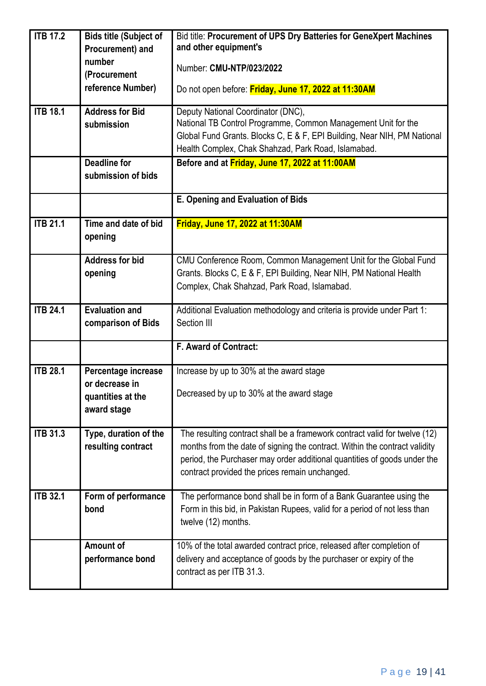| <b>ITB 17.2</b> | <b>Bids title (Subject of</b> | Bid title: Procurement of UPS Dry Batteries for GeneXpert Machines                                                              |  |  |
|-----------------|-------------------------------|---------------------------------------------------------------------------------------------------------------------------------|--|--|
|                 | Procurement) and              | and other equipment's                                                                                                           |  |  |
|                 | number<br>(Procurement        | Number: CMU-NTP/023/2022                                                                                                        |  |  |
|                 | reference Number)             | Do not open before: Friday, June 17, 2022 at 11:30AM                                                                            |  |  |
|                 |                               |                                                                                                                                 |  |  |
| <b>ITB 18.1</b> | <b>Address for Bid</b>        | Deputy National Coordinator (DNC),                                                                                              |  |  |
|                 | submission                    | National TB Control Programme, Common Management Unit for the                                                                   |  |  |
|                 |                               | Global Fund Grants. Blocks C, E & F, EPI Building, Near NIH, PM National<br>Health Complex, Chak Shahzad, Park Road, Islamabad. |  |  |
|                 | <b>Deadline for</b>           | Before and at Friday, June 17, 2022 at 11:00AM                                                                                  |  |  |
|                 | submission of bids            |                                                                                                                                 |  |  |
|                 |                               |                                                                                                                                 |  |  |
|                 |                               | E. Opening and Evaluation of Bids                                                                                               |  |  |
| <b>ITB 21.1</b> | Time and date of bid          | Friday, June 17, 2022 at 11:30AM                                                                                                |  |  |
|                 | opening                       |                                                                                                                                 |  |  |
|                 | <b>Address for bid</b>        | CMU Conference Room, Common Management Unit for the Global Fund                                                                 |  |  |
|                 | opening                       | Grants. Blocks C, E & F, EPI Building, Near NIH, PM National Health                                                             |  |  |
|                 |                               | Complex, Chak Shahzad, Park Road, Islamabad.                                                                                    |  |  |
| <b>ITB 24.1</b> | <b>Evaluation and</b>         | Additional Evaluation methodology and criteria is provide under Part 1:                                                         |  |  |
|                 | comparison of Bids            | Section III                                                                                                                     |  |  |
|                 |                               | F. Award of Contract:                                                                                                           |  |  |
| <b>ITB 28.1</b> | Percentage increase           | Increase by up to 30% at the award stage                                                                                        |  |  |
|                 | or decrease in                |                                                                                                                                 |  |  |
|                 | quantities at the             | Decreased by up to 30% at the award stage                                                                                       |  |  |
|                 | award stage                   |                                                                                                                                 |  |  |
| <b>ITB 31.3</b> | Type, duration of the         | The resulting contract shall be a framework contract valid for twelve (12)                                                      |  |  |
|                 | resulting contract            | months from the date of signing the contract. Within the contract validity                                                      |  |  |
|                 |                               | period, the Purchaser may order additional quantities of goods under the                                                        |  |  |
|                 |                               | contract provided the prices remain unchanged.                                                                                  |  |  |
| <b>ITB 32.1</b> | Form of performance           | The performance bond shall be in form of a Bank Guarantee using the                                                             |  |  |
|                 | bond                          | Form in this bid, in Pakistan Rupees, valid for a period of not less than                                                       |  |  |
|                 |                               | twelve (12) months.                                                                                                             |  |  |
|                 | Amount of                     | 10% of the total awarded contract price, released after completion of                                                           |  |  |
|                 | performance bond              | delivery and acceptance of goods by the purchaser or expiry of the                                                              |  |  |
|                 |                               | contract as per ITB 31.3.                                                                                                       |  |  |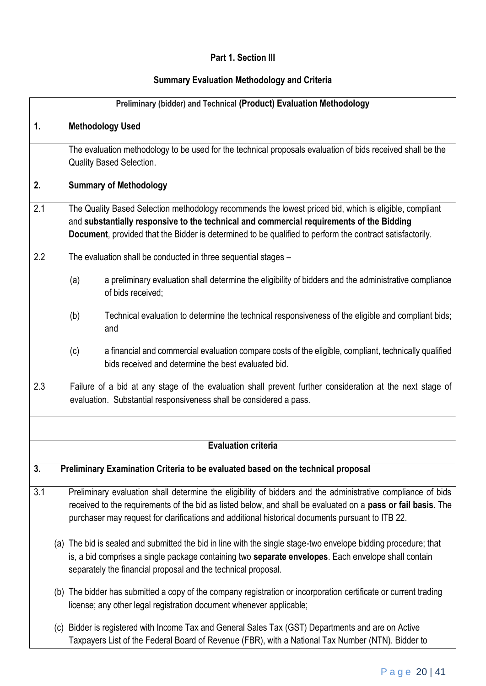# **Part 1. Section III**

# **Summary Evaluation Methodology and Criteria**

|     |     | Preliminary (bidder) and Technical (Product) Evaluation Methodology                                                                                                                                                                                                                                                             |
|-----|-----|---------------------------------------------------------------------------------------------------------------------------------------------------------------------------------------------------------------------------------------------------------------------------------------------------------------------------------|
| 1.  |     | <b>Methodology Used</b>                                                                                                                                                                                                                                                                                                         |
|     |     | The evaluation methodology to be used for the technical proposals evaluation of bids received shall be the<br><b>Quality Based Selection.</b>                                                                                                                                                                                   |
| 2.  |     | <b>Summary of Methodology</b>                                                                                                                                                                                                                                                                                                   |
| 2.1 |     | The Quality Based Selection methodology recommends the lowest priced bid, which is eligible, compliant<br>and substantially responsive to the technical and commercial requirements of the Bidding<br>Document, provided that the Bidder is determined to be qualified to perform the contract satisfactorily.                  |
| 2.2 |     | The evaluation shall be conducted in three sequential stages -                                                                                                                                                                                                                                                                  |
|     | (a) | a preliminary evaluation shall determine the eligibility of bidders and the administrative compliance<br>of bids received;                                                                                                                                                                                                      |
|     | (b) | Technical evaluation to determine the technical responsiveness of the eligible and compliant bids;<br>and                                                                                                                                                                                                                       |
|     | (c) | a financial and commercial evaluation compare costs of the eligible, compliant, technically qualified<br>bids received and determine the best evaluated bid.                                                                                                                                                                    |
| 2.3 |     | Failure of a bid at any stage of the evaluation shall prevent further consideration at the next stage of<br>evaluation. Substantial responsiveness shall be considered a pass.                                                                                                                                                  |
|     |     |                                                                                                                                                                                                                                                                                                                                 |
|     |     | <b>Evaluation criteria</b>                                                                                                                                                                                                                                                                                                      |
| 3.  |     | Preliminary Examination Criteria to be evaluated based on the technical proposal                                                                                                                                                                                                                                                |
| 3.1 |     | Preliminary evaluation shall determine the eligibility of bidders and the administrative compliance of bids<br>received to the requirements of the bid as listed below, and shall be evaluated on a pass or fail basis. The<br>purchaser may request for clarifications and additional historical documents pursuant to ITB 22. |
|     |     | (a) The bid is sealed and submitted the bid in line with the single stage-two envelope bidding procedure; that<br>is, a bid comprises a single package containing two separate envelopes. Each envelope shall contain<br>separately the financial proposal and the technical proposal.                                          |
|     |     | (b) The bidder has submitted a copy of the company registration or incorporation certificate or current trading<br>license; any other legal registration document whenever applicable;                                                                                                                                          |
|     |     | (c) Bidder is registered with Income Tax and General Sales Tax (GST) Departments and are on Active                                                                                                                                                                                                                              |

Taxpayers List of the Federal Board of Revenue (FBR), with a National Tax Number (NTN). Bidder to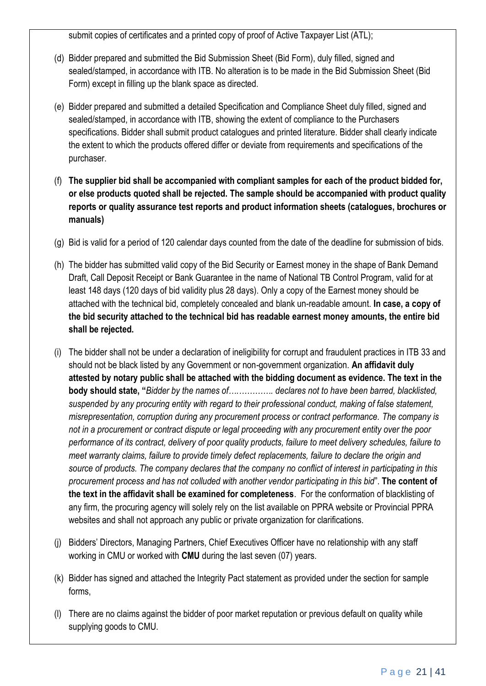submit copies of certificates and a printed copy of proof of Active Taxpayer List (ATL);

- (d) Bidder prepared and submitted the Bid Submission Sheet (Bid Form), duly filled, signed and sealed/stamped, in accordance with ITB. No alteration is to be made in the Bid Submission Sheet (Bid Form) except in filling up the blank space as directed.
- (e) Bidder prepared and submitted a detailed Specification and Compliance Sheet duly filled, signed and sealed/stamped, in accordance with ITB, showing the extent of compliance to the Purchasers specifications. Bidder shall submit product catalogues and printed literature. Bidder shall clearly indicate the extent to which the products offered differ or deviate from requirements and specifications of the purchaser.
- (f) **The supplier bid shall be accompanied with compliant samples for each of the product bidded for, or else products quoted shall be rejected. The sample should be accompanied with product quality reports or quality assurance test reports and product information sheets (catalogues, brochures or manuals)**
- (g) Bid is valid for a period of 120 calendar days counted from the date of the deadline for submission of bids.
- (h) The bidder has submitted valid copy of the Bid Security or Earnest money in the shape of Bank Demand Draft, Call Deposit Receipt or Bank Guarantee in the name of National TB Control Program, valid for at least 148 days (120 days of bid validity plus 28 days). Only a copy of the Earnest money should be attached with the technical bid, completely concealed and blank un-readable amount. **In case, a copy of the bid security attached to the technical bid has readable earnest money amounts, the entire bid shall be rejected.**
- (i) The bidder shall not be under a declaration of ineligibility for corrupt and fraudulent practices in ITB 33 and should not be black listed by any Government or non-government organization. **An affidavit duly attested by notary public shall be attached with the bidding document as evidence. The text in the body should state, "***Bidder by the names of….…………. declares not to have been barred, blacklisted, suspended by any procuring entity with regard to their professional conduct, making of false statement, misrepresentation, corruption during any procurement process or contract performance. The company is not in a procurement or contract dispute or legal proceeding with any procurement entity over the poor performance of its contract, delivery of poor quality products, failure to meet delivery schedules, failure to meet warranty claims, failure to provide timely defect replacements, failure to declare the origin and source of products. The company declares that the company no conflict of interest in participating in this procurement process and has not colluded with another vendor participating in this bid*". **The content of the text in the affidavit shall be examined for completeness**. For the conformation of blacklisting of any firm, the procuring agency will solely rely on the list available on PPRA website or Provincial PPRA websites and shall not approach any public or private organization for clarifications.
- (j) Bidders' Directors, Managing Partners, Chief Executives Officer have no relationship with any staff working in CMU or worked with **CMU** during the last seven (07) years.
- (k) Bidder has signed and attached the Integrity Pact statement as provided under the section for sample forms,
- (l) There are no claims against the bidder of poor market reputation or previous default on quality while supplying goods to CMU.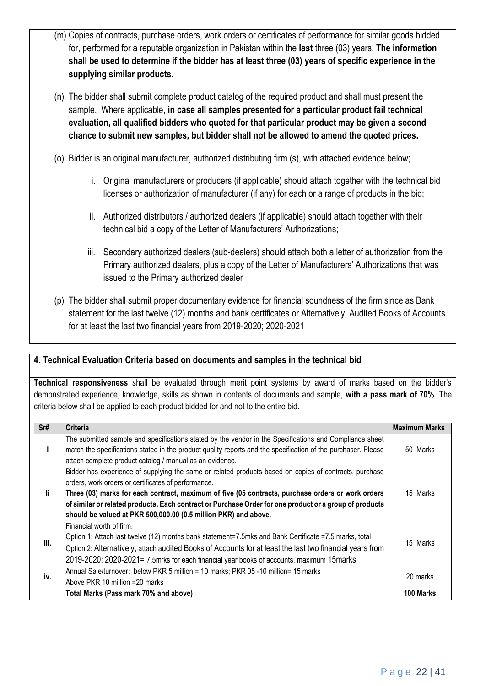- (m) Copies of contracts, purchase orders, work orders or certificates of performance for similar goods bidded for, performed for a reputable organization in Pakistan within the **last** three (03) years. **The information shall be used to determine if the bidder has at least three (03) years of specific experience in the supplying similar products.**
- (n) The bidder shall submit complete product catalog of the required product and shall must present the sample. Where applicable, **in case all samples presented for a particular product fail technical evaluation, all qualified bidders who quoted for that particular product may be given a second chance to submit new samples, but bidder shall not be allowed to amend the quoted prices.**
- (o) Bidder is an original manufacturer, authorized distributing firm (s), with attached evidence below;
	- i. Original manufacturers or producers (if applicable) should attach together with the technical bid licenses or authorization of manufacturer (if any) for each or a range of products in the bid;
	- ii. Authorized distributors / authorized dealers (if applicable) should attach together with their technical bid a copy of the Letter of Manufacturers' Authorizations;
	- iii. Secondary authorized dealers (sub-dealers) should attach both a letter of authorization from the Primary authorized dealers, plus a copy of the Letter of Manufacturers' Authorizations that was issued to the Primary authorized dealer
- (p) The bidder shall submit proper documentary evidence for financial soundness of the firm since as Bank statement for the last twelve (12) months and bank certificates or Alternatively, Audited Books of Accounts for at least the last two financial years from 2019-2020; 2020-2021

# **4. Technical Evaluation Criteria based on documents and samples in the technical bid**

**Technical responsiveness** shall be evaluated through merit point systems by award of marks based on the bidder's demonstrated experience, knowledge, skills as shown in contents of documents and sample, **with a pass mark of 70%**. The criteria below shall be applied to each product bidded for and not to the entire bid.

| Sr# | <b>Criteria</b>                                                                                               | <b>Maximum Marks</b> |  |
|-----|---------------------------------------------------------------------------------------------------------------|----------------------|--|
|     | The submitted sample and specifications stated by the vendor in the Specifications and Compliance sheet       |                      |  |
|     | match the specifications stated in the product quality reports and the specification of the purchaser. Please | 50 Marks             |  |
|     | attach complete product catalog / manual as an evidence.                                                      |                      |  |
|     | Bidder has experience of supplying the same or related products based on copies of contracts, purchase        |                      |  |
|     | orders, work orders or certificates of performance.                                                           |                      |  |
| li. | Three (03) marks for each contract, maximum of five (05 contracts, purchase orders or work orders             | 15 Marks             |  |
|     | of similar or related products. Each contract or Purchase Order for one product or a group of products        |                      |  |
|     | should be valued at PKR 500,000.00 (0.5 million PKR) and above.                                               |                      |  |
|     | Financial worth of firm.                                                                                      |                      |  |
|     | Option 1: Attach last twelve (12) months bank statement=7.5mks and Bank Certificate =7.5 marks, total         |                      |  |
| Ш.  | Option 2: Alternatively, attach audited Books of Accounts for at least the last two financial years from      | 15 Marks             |  |
|     | 2019-2020; 2020-2021= 7.5mrks for each financial year books of accounts, maximum 15marks                      |                      |  |
| iv. | Annual Sale/turnover: below PKR 5 million = 10 marks; PKR 05-10 million= 15 marks                             | 20 marks             |  |
|     | Above PKR 10 million =20 marks                                                                                |                      |  |
|     | Total Marks (Pass mark 70% and above)                                                                         | 100 Marks            |  |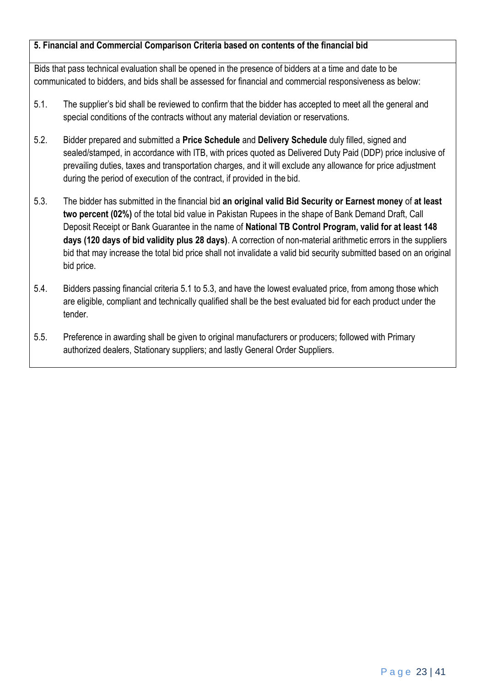# **5. Financial and Commercial Comparison Criteria based on contents of the financial bid**

Bids that pass technical evaluation shall be opened in the presence of bidders at a time and date to be communicated to bidders, and bids shall be assessed for financial and commercial responsiveness as below:

- 5.1. The supplier's bid shall be reviewed to confirm that the bidder has accepted to meet all the general and special conditions of the contracts without any material deviation or reservations.
- 5.2. Bidder prepared and submitted a **Price Schedule** and **Delivery Schedule** duly filled, signed and sealed/stamped, in accordance with ITB, with prices quoted as Delivered Duty Paid (DDP) price inclusive of prevailing duties, taxes and transportation charges, and it will exclude any allowance for price adjustment during the period of execution of the contract, if provided in the bid.
- 5.3. The bidder has submitted in the financial bid **an original valid Bid Security or Earnest money** of **at least two percent (02%)** of the total bid value in Pakistan Rupees in the shape of Bank Demand Draft, Call Deposit Receipt or Bank Guarantee in the name of **National TB Control Program, valid for at least 148 days (120 days of bid validity plus 28 days)**. A correction of non-material arithmetic errors in the suppliers bid that may increase the total bid price shall not invalidate a valid bid security submitted based on an original bid price.
- 5.4. Bidders passing financial criteria 5.1 to 5.3, and have the lowest evaluated price, from among those which are eligible, compliant and technically qualified shall be the best evaluated bid for each product under the tender.
- 5.5. Preference in awarding shall be given to original manufacturers or producers; followed with Primary authorized dealers, Stationary suppliers; and lastly General Order Suppliers.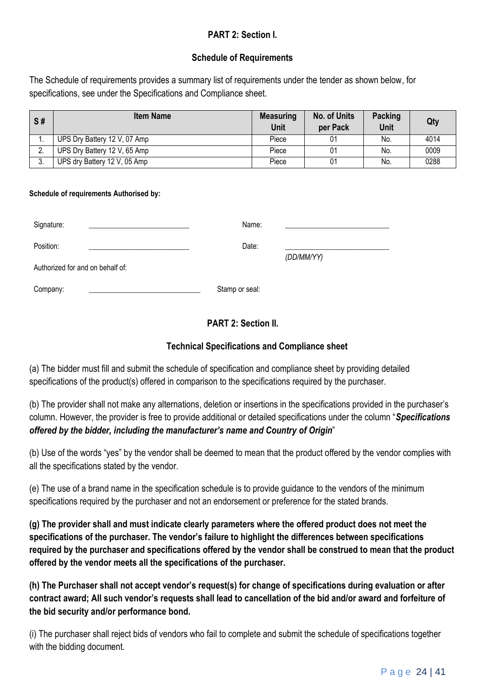# **PART 2: Section I.**

# **Schedule of Requirements**

The Schedule of requirements provides a summary list of requirements under the tender as shown below, for specifications, see under the Specifications and Compliance sheet.

| S# | <b>Item Name</b>             | <b>Measuring</b><br>Unit | <b>No. of Units</b><br>per Pack | <b>Packing</b><br>Unit | Qty  |
|----|------------------------------|--------------------------|---------------------------------|------------------------|------|
|    | UPS Dry Battery 12 V, 07 Amp | Piece                    |                                 | No.                    | 4014 |
|    | UPS Dry Battery 12 V, 65 Amp | Piece                    |                                 | No.                    | 0009 |
|    | UPS dry Battery 12 V, 05 Amp | Piece                    | 01                              | No.                    | 0288 |

#### **Schedule of requirements Authorised by:**

| Signature:                       | Name:          |            |
|----------------------------------|----------------|------------|
| Position:                        | Date:          | (DD/MM/YY) |
| Authorized for and on behalf of: |                |            |
| Company:                         | Stamp or seal: |            |

# **PART 2: Section II.**

# **Technical Specifications and Compliance sheet**

(a) The bidder must fill and submit the schedule of specification and compliance sheet by providing detailed specifications of the product(s) offered in comparison to the specifications required by the purchaser.

(b) The provider shall not make any alternations, deletion or insertions in the specifications provided in the purchaser's column. However, the provider is free to provide additional or detailed specifications under the column "*Specifications offered by the bidder, including the manufacturer's name and Country of Origin*"

(b) Use of the words "yes" by the vendor shall be deemed to mean that the product offered by the vendor complies with all the specifications stated by the vendor.

(e) The use of a brand name in the specification schedule is to provide guidance to the vendors of the minimum specifications required by the purchaser and not an endorsement or preference for the stated brands.

**(g) The provider shall and must indicate clearly parameters where the offered product does not meet the specifications of the purchaser. The vendor's failure to highlight the differences between specifications required by the purchaser and specifications offered by the vendor shall be construed to mean that the product offered by the vendor meets all the specifications of the purchaser.** 

**(h) The Purchaser shall not accept vendor's request(s) for change of specifications during evaluation or after contract award; All such vendor's requests shall lead to cancellation of the bid and/or award and forfeiture of the bid security and/or performance bond.** 

(i) The purchaser shall reject bids of vendors who fail to complete and submit the schedule of specifications together with the bidding document.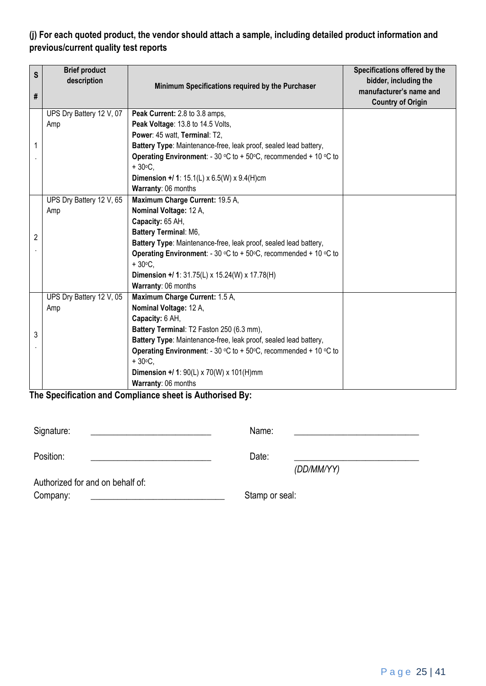# **(j) For each quoted product, the vendor should attach a sample, including detailed product information and previous/current quality test reports**

| S<br># | <b>Brief product</b><br>description | Minimum Specifications required by the Purchaser                                            | Specifications offered by the<br>bidder, including the<br>manufacturer's name and<br><b>Country of Origin</b> |
|--------|-------------------------------------|---------------------------------------------------------------------------------------------|---------------------------------------------------------------------------------------------------------------|
|        | UPS Dry Battery 12 V, 07            | Peak Current: 2.8 to 3.8 amps,                                                              |                                                                                                               |
|        | Amp                                 | Peak Voltage: 13.8 to 14.5 Volts,                                                           |                                                                                                               |
|        |                                     | Power: 45 watt, Terminal: T2,                                                               |                                                                                                               |
| 1      |                                     | Battery Type: Maintenance-free, leak proof, sealed lead battery,                            |                                                                                                               |
|        |                                     | <b>Operating Environment:</b> - 30 °C to + 50°C, recommended + 10 °C to                     |                                                                                                               |
|        |                                     | $+30^{\circ}$ C.                                                                            |                                                                                                               |
|        |                                     | <b>Dimension +/ 1:</b> 15.1(L) $\times$ 6.5(W) $\times$ 9.4(H)cm                            |                                                                                                               |
|        |                                     | Warranty: 06 months                                                                         |                                                                                                               |
|        | UPS Dry Battery 12 V, 65            | Maximum Charge Current: 19.5 A,                                                             |                                                                                                               |
|        | Amp                                 | Nominal Voltage: 12 A,                                                                      |                                                                                                               |
|        |                                     | Capacity: 65 AH,                                                                            |                                                                                                               |
| 2      |                                     | Battery Terminal: M6,                                                                       |                                                                                                               |
|        |                                     | Battery Type: Maintenance-free, leak proof, sealed lead battery,                            |                                                                                                               |
|        |                                     | <b>Operating Environment:</b> - 30 °C to + 50°C, recommended + 10 °C to                     |                                                                                                               |
|        |                                     | $+30^{\circ}$ C.                                                                            |                                                                                                               |
|        |                                     | <b>Dimension +/ 1:</b> 31.75(L) x 15.24(W) x 17.78(H)                                       |                                                                                                               |
|        |                                     | Warranty: 06 months                                                                         |                                                                                                               |
|        | UPS Dry Battery 12 V, 05            | Maximum Charge Current: 1.5 A,                                                              |                                                                                                               |
|        | Amp                                 | Nominal Voltage: 12 A,                                                                      |                                                                                                               |
|        |                                     | Capacity: 6 AH,                                                                             |                                                                                                               |
| 3      |                                     | Battery Terminal: T2 Faston 250 (6.3 mm),                                                   |                                                                                                               |
|        |                                     | Battery Type: Maintenance-free, leak proof, sealed lead battery,                            |                                                                                                               |
|        |                                     | <b>Operating Environment:</b> - 30 °C to + 50°C, recommended + 10 °C to<br>$+30^{\circ}$ C. |                                                                                                               |
|        |                                     | <b>Dimension +/ 1:</b> 90(L) x 70(W) x 101(H)mm                                             |                                                                                                               |
|        |                                     | Warranty: 06 months                                                                         |                                                                                                               |

## **The Specification and Compliance sheet is Authorised By:**

| Signature:                       | Name:          |
|----------------------------------|----------------|
| Position:                        | Date:          |
|                                  | (DD/MM/YY)     |
| Authorized for and on behalf of: |                |
| Company:                         | Stamp or seal: |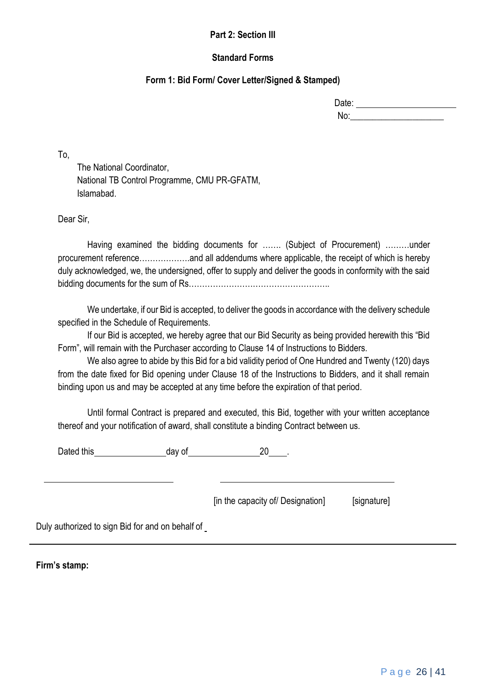# **Part 2: Section III**

# **Standard Forms**

# **Form 1: Bid Form/ Cover Letter/Signed & Stamped)**

| Date: |  |
|-------|--|
| No:   |  |

To,

The National Coordinator, National TB Control Programme, CMU PR-GFATM, Islamabad.

Dear Sir,

Having examined the bidding documents for ……. (Subject of Procurement) ………under procurement reference……………….and all addendums where applicable, the receipt of which is hereby duly acknowledged, we, the undersigned, offer to supply and deliver the goods in conformity with the said bidding documents for the sum of Rs……………………………………………..

We undertake, if our Bid is accepted, to deliver the goods in accordance with the delivery schedule specified in the Schedule of Requirements.

If our Bid is accepted, we hereby agree that our Bid Security as being provided herewith this "Bid Form", will remain with the Purchaser according to Clause 14 of Instructions to Bidders.

We also agree to abide by this Bid for a bid validity period of One Hundred and Twenty (120) days from the date fixed for Bid opening under Clause 18 of the Instructions to Bidders, and it shall remain binding upon us and may be accepted at any time before the expiration of that period.

Until formal Contract is prepared and executed, this Bid, together with your written acceptance thereof and your notification of award, shall constitute a binding Contract between us.

Dated this day of 20 .

[in the capacity of/ Designation] [signature]

Duly authorized to sign Bid for and on behalf of

**Firm's stamp:**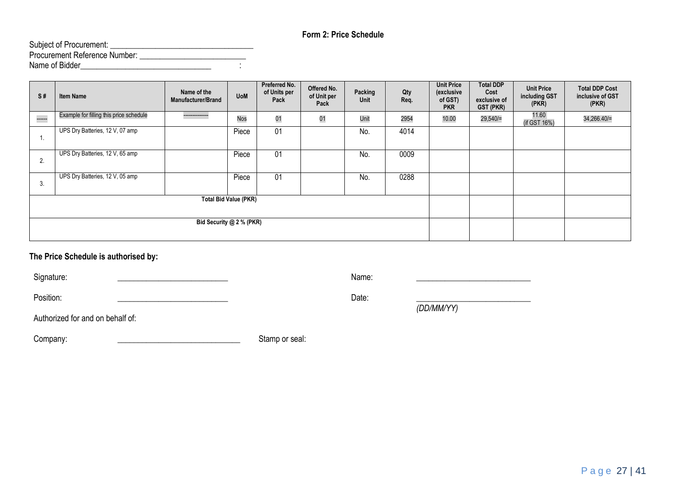# **Form 2: Price Schedule**

| Subject of Procurement:              |  |
|--------------------------------------|--|
| <b>Procurement Reference Number:</b> |  |
| Name of Bidder                       |  |

| S#     | <b>Item Name</b>                        | Name of the<br>Manufacturer/Brand | <b>UoM</b> | Preferred No.<br>of Units per<br>Pack | Offered No.<br>of Unit per<br>Pack | Packing<br>Unit | Qty<br>Req. | <b>Unit Price</b><br>(exclusive<br>of GST)<br><b>PKR</b> | <b>Total DDP</b><br>Cost<br>exclusive of<br><b>GST (PKR)</b> | <b>Unit Price</b><br>including GST<br>(PKR) | <b>Total DDP Cost</b><br>inclusive of GST<br>(PKR) |
|--------|-----------------------------------------|-----------------------------------|------------|---------------------------------------|------------------------------------|-----------------|-------------|----------------------------------------------------------|--------------------------------------------------------------|---------------------------------------------|----------------------------------------------------|
| ------ | Example for filling this price schedule | --------------                    | <b>Nos</b> | 01                                    | 01                                 | Unit            | 2954        | 10.00                                                    | 29,540/=                                                     | 11.60<br>(if GST 16%)                       | 34,266.40/=                                        |
| 1.     | UPS Dry Batteries, 12 V, 07 amp         |                                   | Piece      | 01                                    |                                    | No.             | 4014        |                                                          |                                                              |                                             |                                                    |
| 2.     | UPS Dry Batteries, 12 V, 65 amp         |                                   | Piece      | 01                                    |                                    | No.             | 0009        |                                                          |                                                              |                                             |                                                    |
| 3.     | UPS Dry Batteries, 12 V, 05 amp         |                                   | Piece      | 01                                    |                                    | No.             | 0288        |                                                          |                                                              |                                             |                                                    |
|        | <b>Total Bid Value (PKR)</b>            |                                   |            |                                       |                                    |                 |             |                                                          |                                                              |                                             |                                                    |
|        | Bid Security @ 2 % (PKR)                |                                   |            |                                       |                                    |                 |             |                                                          |                                                              |                                             |                                                    |

# **The Price Schedule is authorised by:**

| Signature:                       | Name: |            |
|----------------------------------|-------|------------|
| Position:                        | Date: |            |
|                                  |       | (DD/MM/YY) |
| Authorized for and on behalf of: |       |            |

| Company: | Stamp or seal: |
|----------|----------------|
|          |                |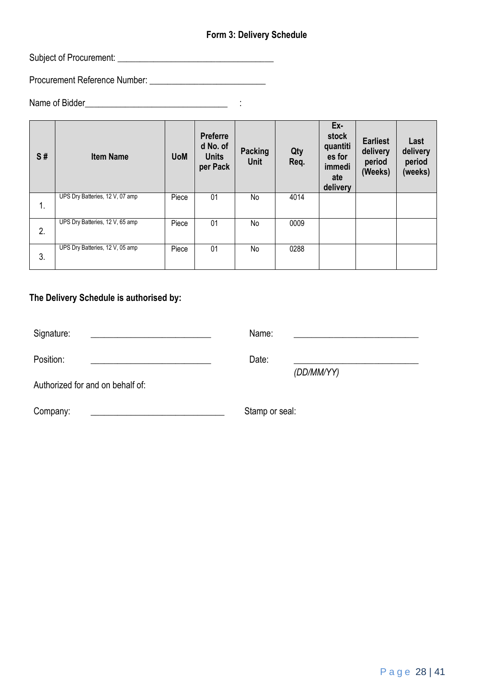# **Form 3: Delivery Schedule**

Subject of Procurement: \_\_\_\_\_\_\_\_\_\_\_\_\_\_\_\_\_\_\_\_\_\_\_\_\_\_\_\_\_\_\_\_\_\_\_

Procurement Reference Number: \_\_\_\_\_\_\_\_\_\_\_\_\_\_\_\_\_\_\_\_\_\_\_\_\_\_

Name of Bidder\_\_\_\_\_\_\_\_\_\_\_\_\_\_\_\_\_\_\_\_\_\_\_\_\_\_\_\_\_\_\_\_ :

| S# | <b>Item Name</b>                | <b>UoM</b> | <b>Preferre</b><br>d No. of<br><b>Units</b><br>per Pack | Packing<br><b>Unit</b> | Qty<br>Req. | Ex-<br>stock<br>quantiti<br>es for<br>immedi<br>ate<br>delivery | <b>Earliest</b><br>delivery<br>period<br>(Weeks) | Last<br>delivery<br>period<br>(weeks) |
|----|---------------------------------|------------|---------------------------------------------------------|------------------------|-------------|-----------------------------------------------------------------|--------------------------------------------------|---------------------------------------|
| 1. | UPS Dry Batteries, 12 V, 07 amp | Piece      | 01                                                      | No                     | 4014        |                                                                 |                                                  |                                       |
| 2. | UPS Dry Batteries, 12 V, 65 amp | Piece      | 01                                                      | No                     | 0009        |                                                                 |                                                  |                                       |
| 3. | UPS Dry Batteries, 12 V, 05 amp | Piece      | 01                                                      | No                     | 0288        |                                                                 |                                                  |                                       |

# **The Delivery Schedule is authorised by:**

| Signature:                       | Name:          |            |
|----------------------------------|----------------|------------|
| Position:                        | Date:          | (DD/MM/YY) |
| Authorized for and on behalf of: |                |            |
| Company:                         | Stamp or seal: |            |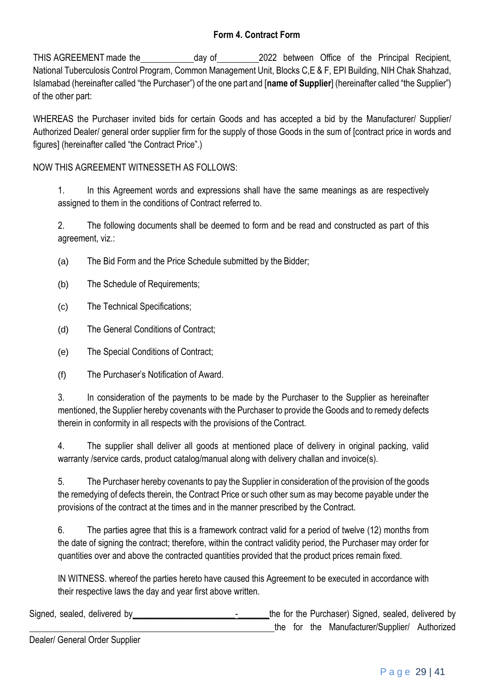# **Form 4. Contract Form**

THIS AGREEMENT made the day of 2022 between Office of the Principal Recipient, National Tuberculosis Control Program, Common Management Unit, Blocks C,E & F, EPI Building, NIH Chak Shahzad, Islamabad (hereinafter called "the Purchaser") of the one part and [**name of Supplier**] (hereinafter called "the Supplier") of the other part:

WHEREAS the Purchaser invited bids for certain Goods and has accepted a bid by the Manufacturer/ Supplier/ Authorized Dealer/ general order supplier firm for the supply of those Goods in the sum of [contract price in words and figures] (hereinafter called "the Contract Price".)

NOW THIS AGREEMENT WITNESSETH AS FOLLOWS:

1. In this Agreement words and expressions shall have the same meanings as are respectively assigned to them in the conditions of Contract referred to.

2. The following documents shall be deemed to form and be read and constructed as part of this agreement, viz.:

(a) The Bid Form and the Price Schedule submitted by the Bidder;

(b) The Schedule of Requirements;

(c) The Technical Specifications;

(d) The General Conditions of Contract;

(e) The Special Conditions of Contract;

(f) The Purchaser's Notification of Award.

3. In consideration of the payments to be made by the Purchaser to the Supplier as hereinafter mentioned, the Supplier hereby covenants with the Purchaser to provide the Goods and to remedy defects therein in conformity in all respects with the provisions of the Contract.

4. The supplier shall deliver all goods at mentioned place of delivery in original packing, valid warranty /service cards, product catalog/manual along with delivery challan and invoice(s).

5. The Purchaser hereby covenants to pay the Supplier in consideration of the provision of the goods the remedying of defects therein, the Contract Price or such other sum as may become payable under the provisions of the contract at the times and in the manner prescribed by the Contract.

6. The parties agree that this is a framework contract valid for a period of twelve (12) months from the date of signing the contract; therefore, within the contract validity period, the Purchaser may order for quantities over and above the contracted quantities provided that the product prices remain fixed.

IN WITNESS. whereof the parties hereto have caused this Agreement to be executed in accordance with their respective laws the day and year first above written.

Signed, sealed, delivered by example and the form the Furchaser) Signed, sealed, delivered by the for the Manufacturer/Supplier/ Authorized

Dealer/ General Order Supplier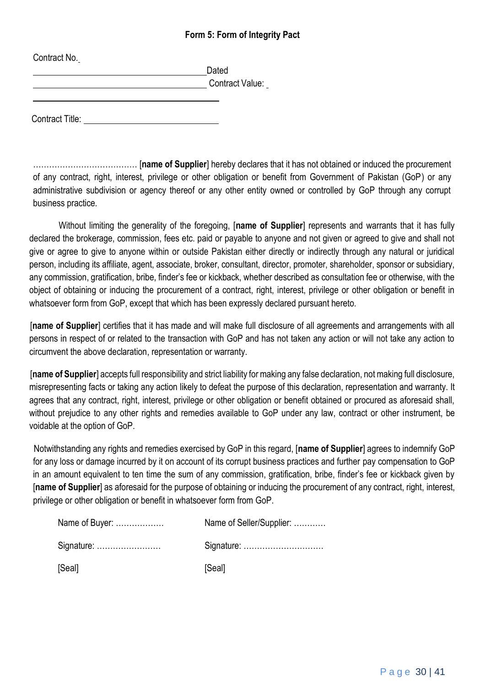# **Form 5: Form of Integrity Pact**

| Contract No.           |                 |
|------------------------|-----------------|
|                        | Dated           |
|                        | Contract Value: |
| <b>Contract Title:</b> |                 |

………………………………… [**name of Supplier**] hereby declares that it has not obtained or induced the procurement of any contract, right, interest, privilege or other obligation or benefit from Government of Pakistan (GoP) or any administrative subdivision or agency thereof or any other entity owned or controlled by GoP through any corrupt business practice.

Without limiting the generality of the foregoing, [**name of Supplier**] represents and warrants that it has fully declared the brokerage, commission, fees etc. paid or payable to anyone and not given or agreed to give and shall not give or agree to give to anyone within or outside Pakistan either directly or indirectly through any natural or juridical person, including its affiliate, agent, associate, broker, consultant, director, promoter, shareholder, sponsor or subsidiary, any commission, gratification, bribe, finder's fee or kickback, whether described as consultation fee or otherwise, with the object of obtaining or inducing the procurement of a contract, right, interest, privilege or other obligation or benefit in whatsoever form from GoP, except that which has been expressly declared pursuant hereto.

[**name of Supplier**] certifies that it has made and will make full disclosure of all agreements and arrangements with all persons in respect of or related to the transaction with GoP and has not taken any action or will not take any action to circumvent the above declaration, representation or warranty.

[**name of Supplier**] accepts full responsibility and strict liability for making any false declaration, not making full disclosure, misrepresenting facts or taking any action likely to defeat the purpose of this declaration, representation and warranty. It agrees that any contract, right, interest, privilege or other obligation or benefit obtained or procured as aforesaid shall, without prejudice to any other rights and remedies available to GoP under any law, contract or other instrument, be voidable at the option of GoP.

Notwithstanding any rights and remedies exercised by GoP in this regard, [**name of Supplier**] agrees to indemnify GoP for any loss or damage incurred by it on account of its corrupt business practices and further pay compensation to GoP in an amount equivalent to ten time the sum of any commission, gratification, bribe, finder's fee or kickback given by [**name of Supplier**] as aforesaid for the purpose of obtaining or inducing the procurement of any contract, right, interest, privilege or other obligation or benefit in whatsoever form from GoP.

| Name of Buyer: | Name of Seller/Supplier: |
|----------------|--------------------------|
| Signature:     |                          |
| [Seal]         | [Seal]                   |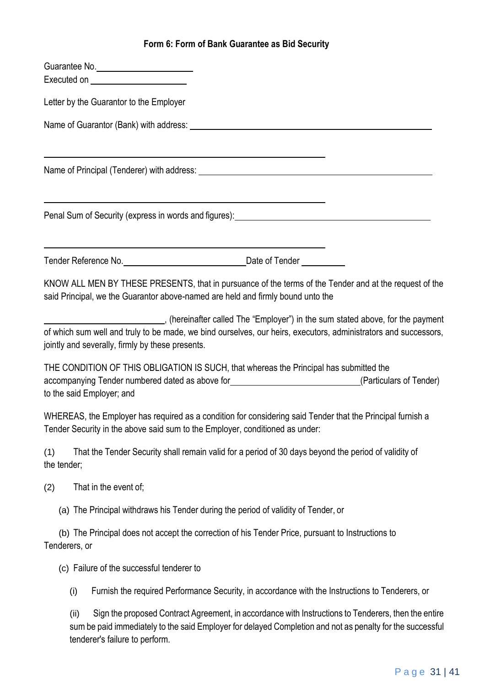# **Form 6: Form of Bank Guarantee as Bid Security**

|                    |      | Guarantee No.<br>Executed on <u>example and the set of the set of the set of the set of the set of the set of the set of the set of the set of the set of the set of the set of the set of the set of the set of the set of the set of the set of</u> |                                                                                                                                                                                                 |  |
|--------------------|------|-------------------------------------------------------------------------------------------------------------------------------------------------------------------------------------------------------------------------------------------------------|-------------------------------------------------------------------------------------------------------------------------------------------------------------------------------------------------|--|
|                    |      | Letter by the Guarantor to the Employer                                                                                                                                                                                                               |                                                                                                                                                                                                 |  |
|                    |      |                                                                                                                                                                                                                                                       |                                                                                                                                                                                                 |  |
|                    |      |                                                                                                                                                                                                                                                       |                                                                                                                                                                                                 |  |
|                    |      |                                                                                                                                                                                                                                                       | Penal Sum of Security (express in words and figures): <b>Figure 2018</b>                                                                                                                        |  |
|                    |      |                                                                                                                                                                                                                                                       | <u> 1989 - Johann Barn, amerikansk politiker (d. 1989)</u>                                                                                                                                      |  |
|                    |      |                                                                                                                                                                                                                                                       | KNOW ALL MEN BY THESE PRESENTS, that in pursuance of the terms of the Tender and at the request of the<br>said Principal, we the Guarantor above-named are held and firmly bound unto the       |  |
|                    |      | jointly and severally, firmly by these presents.                                                                                                                                                                                                      | (hereinafter called The "Employer") in the sum stated above, for the payment<br>of which sum well and truly to be made, we bind ourselves, our heirs, executors, administrators and successors, |  |
|                    |      | to the said Employer; and                                                                                                                                                                                                                             | THE CONDITION OF THIS OBLIGATION IS SUCH, that whereas the Principal has submitted the<br>accompanying Tender numbered dated as above for<br><u>Carticulars of Tender</u>                       |  |
|                    |      |                                                                                                                                                                                                                                                       | WHEREAS, the Employer has required as a condition for considering said Tender that the Principal furnish a<br>Tender Security in the above said sum to the Employer, conditioned as under:      |  |
| (1)<br>the tender; |      |                                                                                                                                                                                                                                                       | That the Tender Security shall remain valid for a period of 30 days beyond the period of validity of                                                                                            |  |
| (2)                |      | That in the event of;                                                                                                                                                                                                                                 |                                                                                                                                                                                                 |  |
|                    |      |                                                                                                                                                                                                                                                       | (a) The Principal withdraws his Tender during the period of validity of Tender, or                                                                                                              |  |
| Tenderers, or      |      |                                                                                                                                                                                                                                                       | (b) The Principal does not accept the correction of his Tender Price, pursuant to Instructions to                                                                                               |  |
|                    |      | (c) Failure of the successful tenderer to                                                                                                                                                                                                             |                                                                                                                                                                                                 |  |
|                    | (i)  |                                                                                                                                                                                                                                                       | Furnish the required Performance Security, in accordance with the Instructions to Tenderers, or                                                                                                 |  |
|                    | (ii) |                                                                                                                                                                                                                                                       | Sign the proposed Contract Agreement, in accordance with Instructions to Tenderers, then the entire                                                                                             |  |

sum be paid immediately to the said Employer for delayed Completion and not as penalty for the successful tenderer's failure to perform.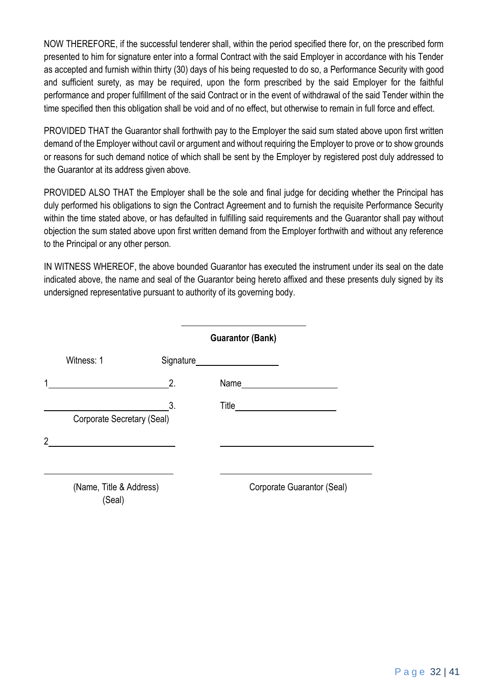NOW THEREFORE, if the successful tenderer shall, within the period specified there for, on the prescribed form presented to him for signature enter into a formal Contract with the said Employer in accordance with his Tender as accepted and furnish within thirty (30) days of his being requested to do so, a Performance Security with good and sufficient surety, as may be required, upon the form prescribed by the said Employer for the faithful performance and proper fulfillment of the said Contract or in the event of withdrawal of the said Tender within the time specified then this obligation shall be void and of no effect, but otherwise to remain in full force and effect.

PROVIDED THAT the Guarantor shall forthwith pay to the Employer the said sum stated above upon first written demand of the Employer without cavil or argument and without requiring the Employer to prove or to show grounds or reasons for such demand notice of which shall be sent by the Employer by registered post duly addressed to the Guarantor at its address given above.

PROVIDED ALSO THAT the Employer shall be the sole and final judge for deciding whether the Principal has duly performed his obligations to sign the Contract Agreement and to furnish the requisite Performance Security within the time stated above, or has defaulted in fulfilling said requirements and the Guarantor shall pay without objection the sum stated above upon first written demand from the Employer forthwith and without any reference to the Principal or any other person.

IN WITNESS WHEREOF, the above bounded Guarantor has executed the instrument under its seal on the date indicated above, the name and seal of the Guarantor being hereto affixed and these presents duly signed by its undersigned representative pursuant to authority of its governing body.

|                |                                   |    | <b>Guarantor (Bank)</b>    |  |
|----------------|-----------------------------------|----|----------------------------|--|
|                | Witness: 1                        |    |                            |  |
| 1              |                                   | 2. | Name                       |  |
|                | Corporate Secretary (Seal)        | 3. |                            |  |
| $\overline{2}$ |                                   |    |                            |  |
|                | (Name, Title & Address)<br>(Seal) |    | Corporate Guarantor (Seal) |  |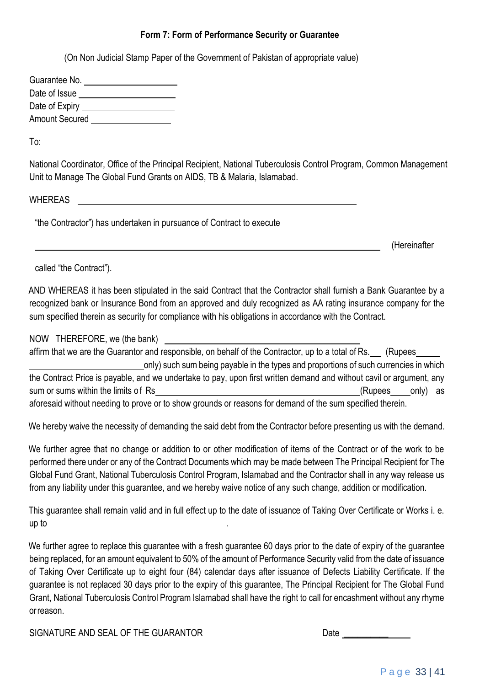# **Form 7: Form of Performance Security or Guarantee**

(On Non Judicial Stamp Paper of the Government of Pakistan of appropriate value)

| Guarantee No.         |  |
|-----------------------|--|
| Date of Issue         |  |
| Date of Expiry        |  |
| <b>Amount Secured</b> |  |

To:

National Coordinator, Office of the Principal Recipient, National Tuberculosis Control Program, Common Management Unit to Manage The Global Fund Grants on AIDS, TB & Malaria, Islamabad.

WHEREAS

"the Contractor") has undertaken in pursuance of Contract to execute

(Hereinafter

called "the Contract").

AND WHEREAS it has been stipulated in the said Contract that the Contractor shall furnish a Bank Guarantee by a recognized bank or Insurance Bond from an approved and duly recognized as AA rating insurance company for the sum specified therein as security for compliance with his obligations in accordance with the Contract.

# NOW THEREFORE, we (the bank)

affirm that we are the Guarantor and responsible, on behalf of the Contractor, up to a total of Rs. (Rupees only) such sum being payable in the types and proportions of such currencies in which the Contract Price is payable, and we undertake to pay, upon first written demand and without cavil or argument, any sum or sums within the limits of Rs (Rupees only) as aforesaid without needing to prove or to show grounds or reasons for demand of the sum specified therein.

We hereby waive the necessity of demanding the said debt from the Contractor before presenting us with the demand.

We further agree that no change or addition to or other modification of items of the Contract or of the work to be performed there under or any of the Contract Documents which may be made between The Principal Recipient for The Global Fund Grant, National Tuberculosis Control Program, Islamabad and the Contractor shall in any way release us from any liability under this guarantee, and we hereby waive notice of any such change, addition or modification.

This guarantee shall remain valid and in full effect up to the date of issuance of Taking Over Certificate or Works i. e. up to .

We further agree to replace this guarantee with a fresh guarantee 60 days prior to the date of expiry of the guarantee being replaced, for an amount equivalent to 50% of the amount of Performance Security valid from the date of issuance of Taking Over Certificate up to eight four (84) calendar days after issuance of Defects Liability Certificate. If the guarantee is not replaced 30 days prior to the expiry of this guarantee, The Principal Recipient for The Global Fund Grant, National Tuberculosis Control Program Islamabad shall have the right to call for encashment without any rhyme orreason.

SIGNATURE AND SEAL OF THE GUARANTOR **Date** Date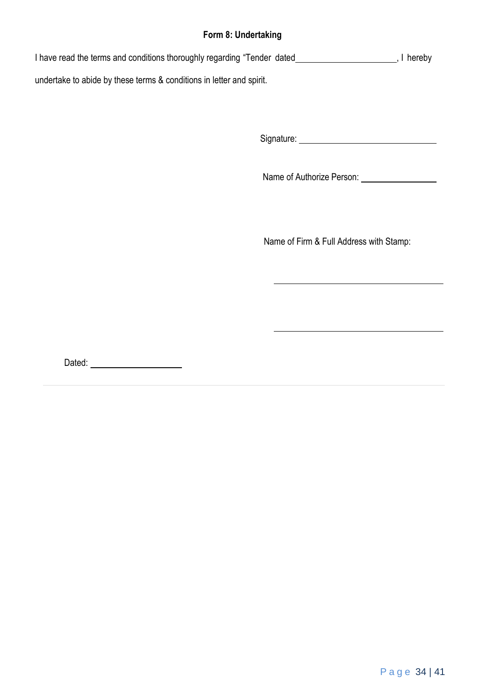# **Form 8: Undertaking**

I have read the terms and conditions thoroughly regarding "Tender dated **1998**, I hereby undertake to abide by these terms & conditions in letter and spirit.

Signature:

Name of Authorize Person:

Name of Firm & Full Address with Stamp:

Dated: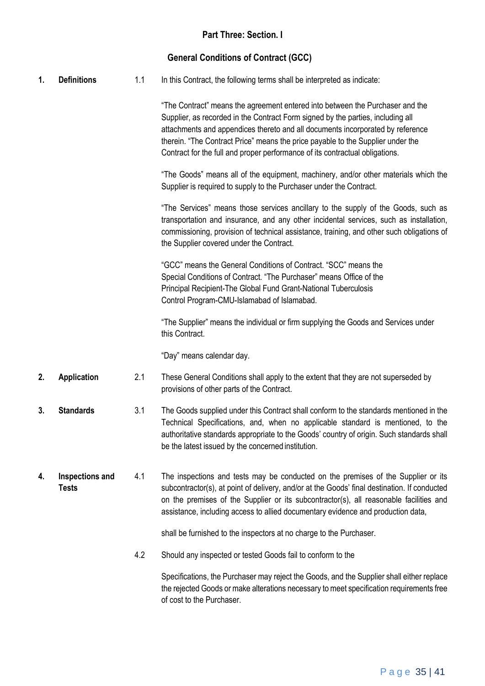# **General Conditions of Contract (GCC)**

|  | <b>Definitions</b> |  | In this Contract, the following terms shall be interpreted as indicate: |
|--|--------------------|--|-------------------------------------------------------------------------|
|--|--------------------|--|-------------------------------------------------------------------------|

"The Contract" means the agreement entered into between the Purchaser and the Supplier, as recorded in the Contract Form signed by the parties, including all attachments and appendices thereto and all documents incorporated by reference therein. "The Contract Price" means the price payable to the Supplier under the Contract for the full and proper performance of its contractual obligations.

"The Goods" means all of the equipment, machinery, and/or other materials which the Supplier is required to supply to the Purchaser under the Contract.

"The Services" means those services ancillary to the supply of the Goods, such as transportation and insurance, and any other incidental services, such as installation, commissioning, provision of technical assistance, training, and other such obligations of the Supplier covered under the Contract.

"GCC" means the General Conditions of Contract. "SCC" means the Special Conditions of Contract. "The Purchaser" means Office of the Principal Recipient-The Global Fund Grant-National Tuberculosis Control Program-CMU-Islamabad of Islamabad.

"The Supplier" means the individual or firm supplying the Goods and Services under this Contract.

"Day" means calendar day.

- **2. Application** 2.1 These General Conditions shall apply to the extent that they are not superseded by provisions of other parts of the Contract.
- **3. Standards** 3.1 The Goods supplied under this Contract shall conform to the standards mentioned in the Technical Specifications, and, when no applicable standard is mentioned, to the authoritative standards appropriate to the Goods' country of origin. Such standards shall be the latest issued by the concerned institution.
- **4. Inspections and Tests** 4.1 The inspections and tests may be conducted on the premises of the Supplier or its subcontractor(s), at point of delivery, and/or at the Goods' final destination. If conducted on the premises of the Supplier or its subcontractor(s), all reasonable facilities and assistance, including access to allied documentary evidence and production data,

shall be furnished to the inspectors at no charge to the Purchaser.

4.2 Should any inspected or tested Goods fail to conform to the

Specifications, the Purchaser may reject the Goods, and the Supplier shall either replace the rejected Goods or make alterations necessary to meet specification requirements free of cost to the Purchaser.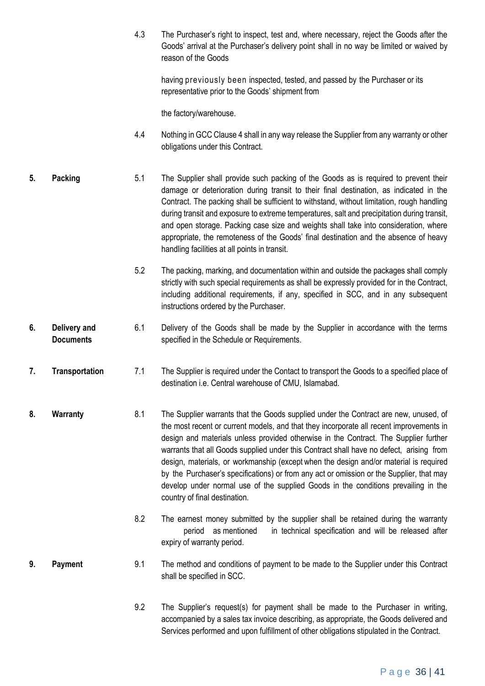4.3 The Purchaser's right to inspect, test and, where necessary, reject the Goods after the Goods' arrival at the Purchaser's delivery point shall in no way be limited or waived by reason of the Goods

having previously been inspected, tested, and passed by the Purchaser or its representative prior to the Goods' shipment from

the factory/warehouse.

- 4.4 Nothing in GCC Clause 4 shall in any way release the Supplier from any warranty or other obligations under this Contract.
- **5. Packing** 5.1 The Supplier shall provide such packing of the Goods as is required to prevent their damage or deterioration during transit to their final destination, as indicated in the Contract. The packing shall be sufficient to withstand, without limitation, rough handling during transit and exposure to extreme temperatures, salt and precipitation during transit, and open storage. Packing case size and weights shall take into consideration, where appropriate, the remoteness of the Goods' final destination and the absence of heavy handling facilities at all points in transit.
	- 5.2 The packing, marking, and documentation within and outside the packages shall comply strictly with such special requirements as shall be expressly provided for in the Contract, including additional requirements, if any, specified in SCC, and in any subsequent instructions ordered by the Purchaser.
- **6. Delivery and Documents** 6.1 Delivery of the Goods shall be made by the Supplier in accordance with the terms specified in the Schedule or Requirements.
- **7. Transportation** 7.1 The Supplier is required under the Contact to transport the Goods to a specified place of destination i.e. Central warehouse of CMU, Islamabad.
- **8. Warranty** 8.1 The Supplier warrants that the Goods supplied under the Contract are new, unused, of the most recent or current models, and that they incorporate all recent improvements in design and materials unless provided otherwise in the Contract. The Supplier further warrants that all Goods supplied under this Contract shall have no defect, arising from design, materials, or workmanship (except when the design and/or material is required by the Purchaser's specifications) or from any act or omission or the Supplier, that may develop under normal use of the supplied Goods in the conditions prevailing in the country of final destination.
	- 8.2 The earnest money submitted by the supplier shall be retained during the warranty period as mentioned in technical specification and will be released after expiry of warranty period.

#### **9. Payment** 9.1 The method and conditions of payment to be made to the Supplier under this Contract shall be specified in SCC.

9.2 The Supplier's request(s) for payment shall be made to the Purchaser in writing, accompanied by a sales tax invoice describing, as appropriate, the Goods delivered and Services performed and upon fulfillment of other obligations stipulated in the Contract.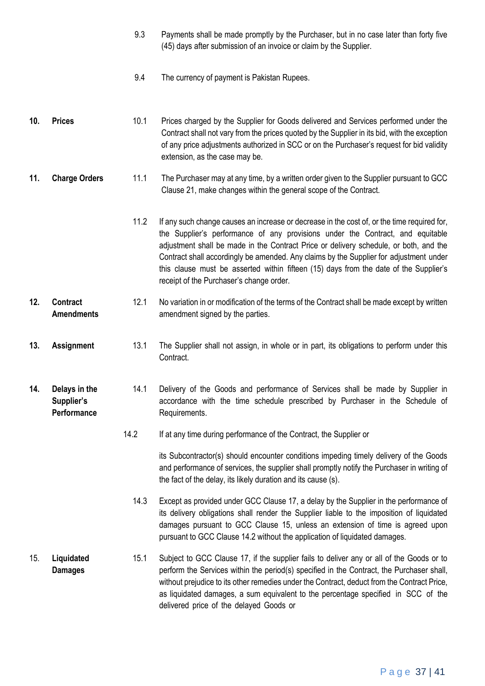- 9.3 Payments shall be made promptly by the Purchaser, but in no case later than forty five (45) days after submission of an invoice or claim by the Supplier.
- 9.4 The currency of payment is Pakistan Rupees.
- **10. Prices** 10.1 Prices charged by the Supplier for Goods delivered and Services performed under the Contract shall not vary from the prices quoted by the Supplier in its bid, with the exception of any price adjustments authorized in SCC or on the Purchaser's request for bid validity extension, as the case may be.
- **11. Charge Orders** 11.1 The Purchaser may at any time, by a written order given to the Supplier pursuant to GCC Clause 21, make changes within the general scope of the Contract.
	- 11.2 If any such change causes an increase or decrease in the cost of, or the time required for, the Supplier's performance of any provisions under the Contract, and equitable adjustment shall be made in the Contract Price or delivery schedule, or both, and the Contract shall accordingly be amended. Any claims by the Supplier for adjustment under this clause must be asserted within fifteen (15) days from the date of the Supplier's receipt of the Purchaser's change order.
- **12. Contract Amendments** 12.1 No variation in or modification of the terms of the Contract shall be made except by written amendment signed by the parties.
- **13. Assignment** 13.1 The Supplier shall not assign, in whole or in part, its obligations to perform under this Contract.
- **14. Delays in the Supplier's Performance** 14.1 Delivery of the Goods and performance of Services shall be made by Supplier in accordance with the time schedule prescribed by Purchaser in the Schedule of Requirements.
	- 14.2 If at any time during performance of the Contract, the Supplier or

its Subcontractor(s) should encounter conditions impeding timely delivery of the Goods and performance of services, the supplier shall promptly notify the Purchaser in writing of the fact of the delay, its likely duration and its cause (s).

- 14.3 Except as provided under GCC Clause 17, a delay by the Supplier in the performance of its delivery obligations shall render the Supplier liable to the imposition of liquidated damages pursuant to GCC Clause 15, unless an extension of time is agreed upon pursuant to GCC Clause 14.2 without the application of liquidated damages.
- 15. **Liquidated Damages** 15.1 Subject to GCC Clause 17, if the supplier fails to deliver any or all of the Goods or to perform the Services within the period(s) specified in the Contract, the Purchaser shall, without prejudice to its other remedies under the Contract, deduct from the Contract Price, as liquidated damages, a sum equivalent to the percentage specified in SCC of the delivered price of the delayed Goods or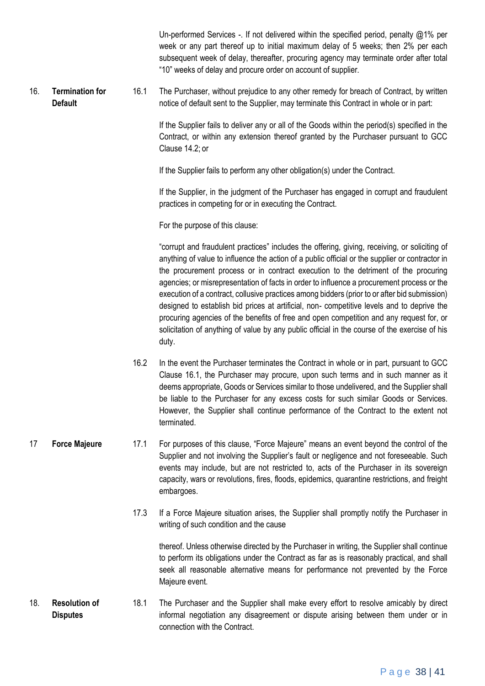Un-performed Services -. If not delivered within the specified period, penalty  $@1\%$  per week or any part thereof up to initial maximum delay of 5 weeks; then 2% per each subsequent week of delay, thereafter, procuring agency may terminate order after total "10" weeks of delay and procure order on account of supplier.

16. **Termination for Default** 16.1 The Purchaser, without prejudice to any other remedy for breach of Contract, by written notice of default sent to the Supplier, may terminate this Contract in whole or in part:

> If the Supplier fails to deliver any or all of the Goods within the period(s) specified in the Contract, or within any extension thereof granted by the Purchaser pursuant to GCC Clause 14.2; or

If the Supplier fails to perform any other obligation(s) under the Contract.

If the Supplier, in the judgment of the Purchaser has engaged in corrupt and fraudulent practices in competing for or in executing the Contract.

For the purpose of this clause:

"corrupt and fraudulent practices" includes the offering, giving, receiving, or soliciting of anything of value to influence the action of a public official or the supplier or contractor in the procurement process or in contract execution to the detriment of the procuring agencies; or misrepresentation of facts in order to influence a procurement process or the execution of a contract, collusive practices among bidders (prior to or after bid submission) designed to establish bid prices at artificial, non- competitive levels and to deprive the procuring agencies of the benefits of free and open competition and any request for, or solicitation of anything of value by any public official in the course of the exercise of his duty.

- 16.2 In the event the Purchaser terminates the Contract in whole or in part, pursuant to GCC Clause 16.1, the Purchaser may procure, upon such terms and in such manner as it deems appropriate, Goods or Services similar to those undelivered, and the Supplier shall be liable to the Purchaser for any excess costs for such similar Goods or Services. However, the Supplier shall continue performance of the Contract to the extent not terminated.
- 17 **Force Majeure** 17.1 For purposes of this clause, "Force Majeure" means an event beyond the control of the Supplier and not involving the Supplier's fault or negligence and not foreseeable. Such events may include, but are not restricted to, acts of the Purchaser in its sovereign capacity, wars or revolutions, fires, floods, epidemics, quarantine restrictions, and freight embargoes.
	- 17.3 If a Force Majeure situation arises, the Supplier shall promptly notify the Purchaser in writing of such condition and the cause

thereof. Unless otherwise directed by the Purchaser in writing, the Supplier shall continue to perform its obligations under the Contract as far as is reasonably practical, and shall seek all reasonable alternative means for performance not prevented by the Force Majeure event.

18. **Resolution of Disputes** 18.1 The Purchaser and the Supplier shall make every effort to resolve amicably by direct informal negotiation any disagreement or dispute arising between them under or in connection with the Contract.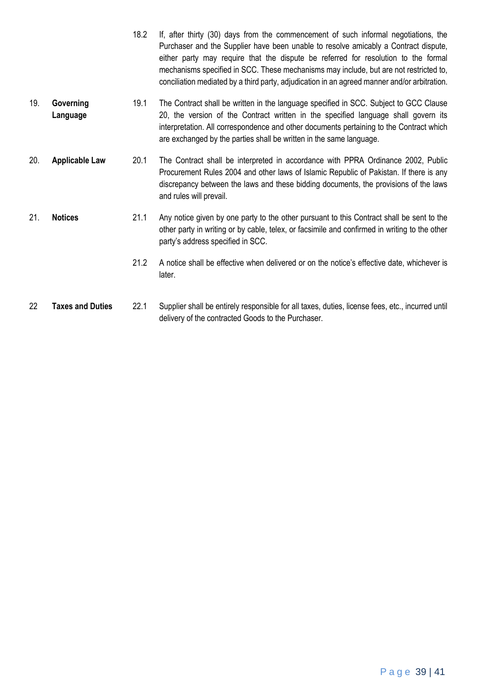- 18.2 If, after thirty (30) days from the commencement of such informal negotiations, the Purchaser and the Supplier have been unable to resolve amicably a Contract dispute, either party may require that the dispute be referred for resolution to the formal mechanisms specified in SCC. These mechanisms may include, but are not restricted to, conciliation mediated by a third party, adjudication in an agreed manner and/or arbitration. 19. **Governing Language** 19.1 The Contract shall be written in the language specified in SCC. Subject to GCC Clause 20, the version of the Contract written in the specified language shall govern its interpretation. All correspondence and other documents pertaining to the Contract which are exchanged by the parties shall be written in the same language. 20. **Applicable Law** 20.1 The Contract shall be interpreted in accordance with PPRA Ordinance 2002, Public Procurement Rules 2004 and other laws of Islamic Republic of Pakistan. If there is any discrepancy between the laws and these bidding documents, the provisions of the laws and rules will prevail. 21. **Notices** 21.1 Any notice given by one party to the other pursuant to this Contract shall be sent to the other party in writing or by cable, telex, or facsimile and confirmed in writing to the other party's address specified in SCC. 21.2 A notice shall be effective when delivered or on the notice's effective date, whichever is later.
- 22 **Taxes and Duties** 22.1 Supplier shall be entirely responsible for all taxes, duties, license fees, etc., incurred until delivery of the contracted Goods to the Purchaser.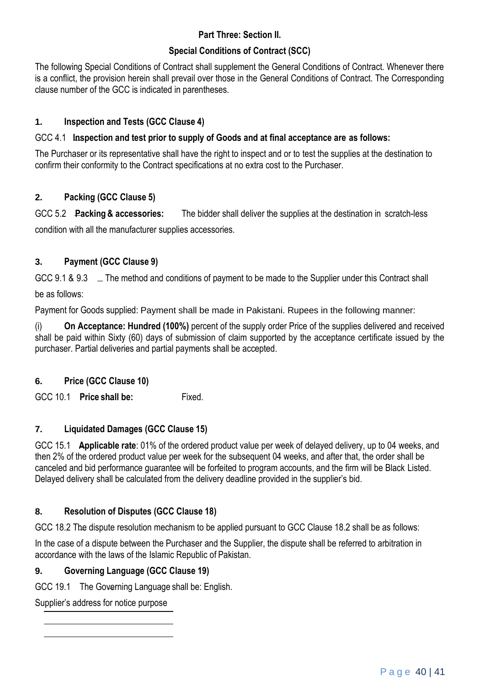# **Part Three: Section II.**

# **Special Conditions of Contract (SCC)**

The following Special Conditions of Contract shall supplement the General Conditions of Contract. Whenever there is a conflict, the provision herein shall prevail over those in the General Conditions of Contract. The Corresponding clause number of the GCC is indicated in parentheses.

# **1. Inspection and Tests (GCC Clause 4)**

# GCC 4.1 **Inspection and test prior to supply of Goods and at final acceptance are as follows:**

The Purchaser or its representative shall have the right to inspect and or to test the supplies at the destination to confirm their conformity to the Contract specifications at no extra cost to the Purchaser.

# **2. Packing (GCC Clause 5)**

GCC 5.2 **Packing & accessories:** The bidder shall deliver the supplies at the destination in scratch-less condition with all the manufacturer supplies accessories.

# **3. Payment (GCC Clause 9)**

GCC 9.1 & 9.3  $\phantom{1}$  \_ The method and conditions of payment to be made to the Supplier under this Contract shall be as follows:

Payment for Goods supplied: Payment shall be made in Pakistani. Rupees in the following manner:

(i) **On Acceptance: Hundred (100%)** percent of the supply order Price of the supplies delivered and received shall be paid within Sixty (60) days of submission of claim supported by the acceptance certificate issued by the purchaser. Partial deliveries and partial payments shall be accepted.

# **6. Price (GCC Clause 10)**

GCC 10.1 **Price shall be:** Fixed.

# **7. Liquidated Damages (GCC Clause 15)**

GCC 15.1 **Applicable rate**: 01% of the ordered product value per week of delayed delivery, up to 04 weeks, and then 2% of the ordered product value per week for the subsequent 04 weeks, and after that, the order shall be canceled and bid performance guarantee will be forfeited to program accounts, and the firm will be Black Listed. Delayed delivery shall be calculated from the delivery deadline provided in the supplier's bid.

# **8. Resolution of Disputes (GCC Clause 18)**

GCC 18.2 The dispute resolution mechanism to be applied pursuant to GCC Clause 18.2 shall be as follows:

In the case of a dispute between the Purchaser and the Supplier, the dispute shall be referred to arbitration in accordance with the laws of the Islamic Republic of Pakistan.

# **9. Governing Language (GCC Clause 19)**

GCC 19.1 The Governing Language shall be: English.

Supplier's address for notice purpose

Page 40 | 41